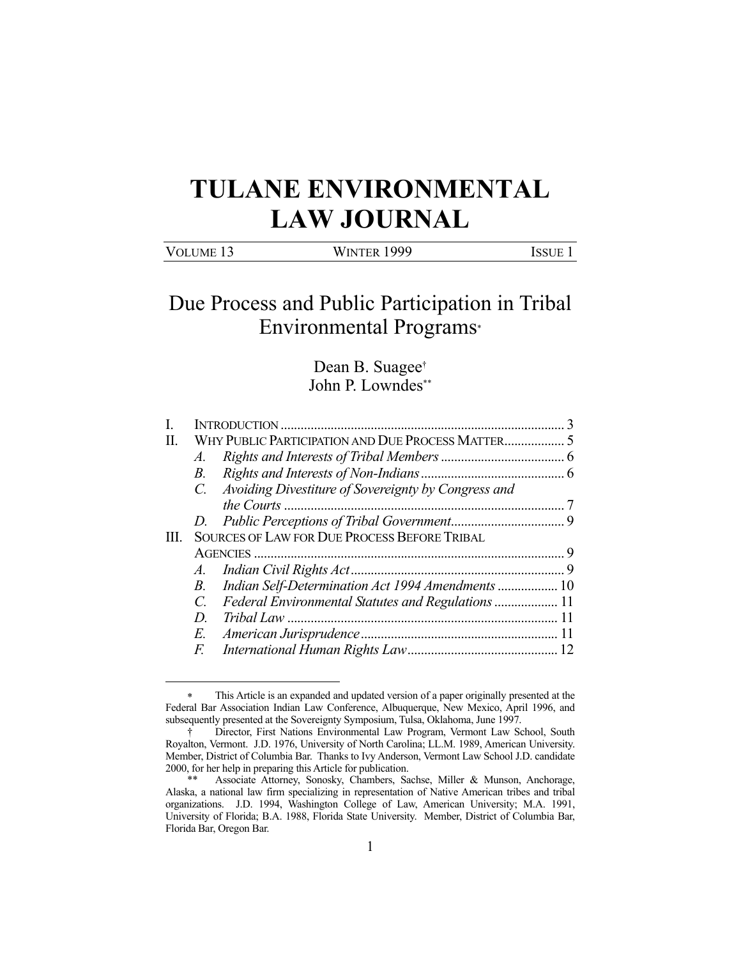# **TULANE ENVIRONMENTAL LAW JOURNAL**

# Due Process and Public Participation in Tribal Environmental Programs

Dean B. Suagee† John P. Lowndes\*\*

| H. |                                              |                                                     |   |
|----|----------------------------------------------|-----------------------------------------------------|---|
|    | A.                                           |                                                     |   |
|    | <i>B</i> .                                   |                                                     |   |
|    | C.                                           | Avoiding Divestiture of Sovereignty by Congress and |   |
|    |                                              |                                                     | 7 |
|    |                                              |                                                     |   |
| Ш. | SOURCES OF LAW FOR DUE PROCESS BEFORE TRIBAL |                                                     |   |
|    |                                              |                                                     |   |
|    | A.                                           |                                                     |   |
|    | В.                                           | Indian Self-Determination Act 1994 Amendments  10   |   |
|    | $\mathcal{C}$                                | Federal Environmental Statutes and Regulations  11  |   |
|    | D.                                           |                                                     |   |
|    | E.                                           |                                                     |   |
|    | E                                            |                                                     |   |
|    |                                              |                                                     |   |

This Article is an expanded and updated version of a paper originally presented at the Federal Bar Association Indian Law Conference, Albuquerque, New Mexico, April 1996, and subsequently presented at the Sovereignty Symposium, Tulsa, Oklahoma, June 1997.

 <sup>†</sup> Director, First Nations Environmental Law Program, Vermont Law School, South Royalton, Vermont. J.D. 1976, University of North Carolina; LL.M. 1989, American University. Member, District of Columbia Bar. Thanks to Ivy Anderson, Vermont Law School J.D. candidate 2000, for her help in preparing this Article for publication.

Associate Attorney, Sonosky, Chambers, Sachse, Miller & Munson, Anchorage, Alaska, a national law firm specializing in representation of Native American tribes and tribal organizations. J.D. 1994, Washington College of Law, American University; M.A. 1991, University of Florida; B.A. 1988, Florida State University. Member, District of Columbia Bar, Florida Bar, Oregon Bar.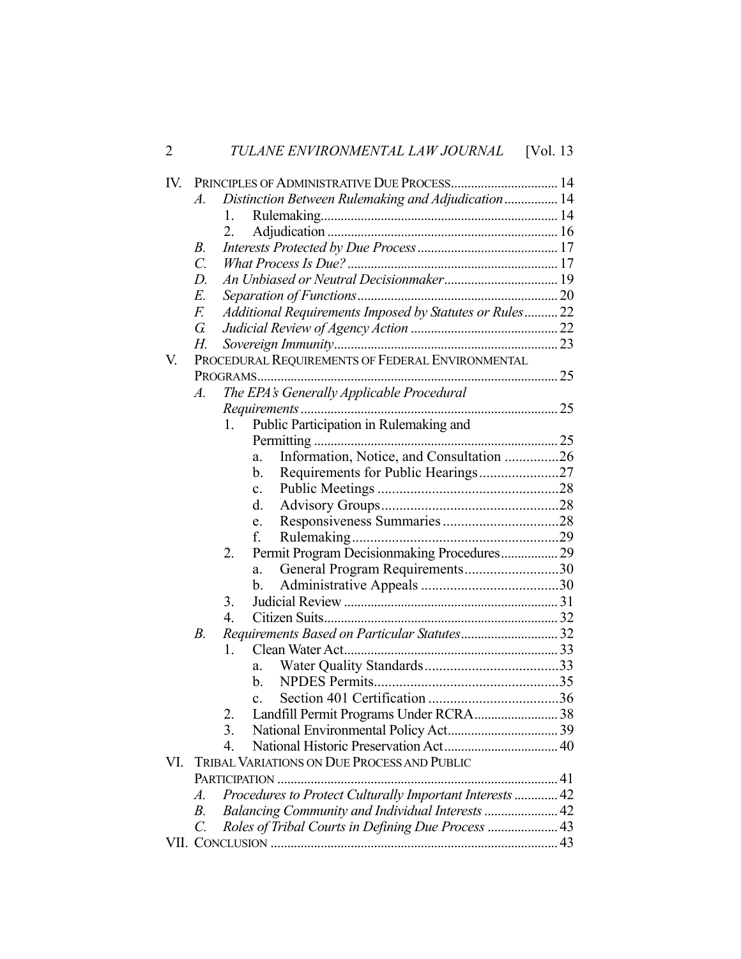| $\overline{2}$ | TULANE ENVIRONMENTAL LAW JOURNAL [Vol. 13                                      |  |
|----------------|--------------------------------------------------------------------------------|--|
| IV.            | PRINCIPLES OF ADMINISTRATIVE DUE PROCESS 14                                    |  |
|                | Distinction Between Rulemaking and Adjudication  14<br>$A$ .                   |  |
|                | 1.                                                                             |  |
|                | 2.                                                                             |  |
|                | $B_{\cdot}$                                                                    |  |
|                | $\overline{C}$ .                                                               |  |
|                | $D_{\cdot}$                                                                    |  |
|                | $E$ .                                                                          |  |
|                | F.<br>Additional Requirements Imposed by Statutes or Rules 22                  |  |
|                | G.                                                                             |  |
|                | Н.                                                                             |  |
| V.             | PROCEDURAL REQUIREMENTS OF FEDERAL ENVIRONMENTAL                               |  |
|                |                                                                                |  |
|                | The EPA's Generally Applicable Procedural<br>$\mathcal{A}$ .                   |  |
|                |                                                                                |  |
|                | Public Participation in Rulemaking and<br>1.                                   |  |
|                |                                                                                |  |
|                | Information, Notice, and Consultation 26<br>a.                                 |  |
|                | Requirements for Public Hearings27<br>b.                                       |  |
|                | c.                                                                             |  |
|                | d.                                                                             |  |
|                | e.                                                                             |  |
|                | f.                                                                             |  |
|                | Permit Program Decisionmaking Procedures 29<br>2.                              |  |
|                | General Program Requirements30<br>a.                                           |  |
|                | b.                                                                             |  |
|                | 3.                                                                             |  |
|                | 4.                                                                             |  |
|                | Requirements Based on Particular Statutes32<br>$B$ .                           |  |
|                | 1.                                                                             |  |
|                | a.                                                                             |  |
|                |                                                                                |  |
|                | $\mathbf{c}$ .                                                                 |  |
|                | Landfill Permit Programs Under RCRA 38<br>2.                                   |  |
|                | 3.                                                                             |  |
|                | 4.                                                                             |  |
| VI.            | TRIBAL VARIATIONS ON DUE PROCESS AND PUBLIC                                    |  |
|                |                                                                                |  |
|                | Procedures to Protect Culturally Important Interests  42<br>$\boldsymbol{A}$ . |  |
|                | Balancing Community and Individual Interests  42<br>$B$ .                      |  |
|                | Roles of Tribal Courts in Defining Due Process  43<br>$\mathcal{C}$ .          |  |
|                |                                                                                |  |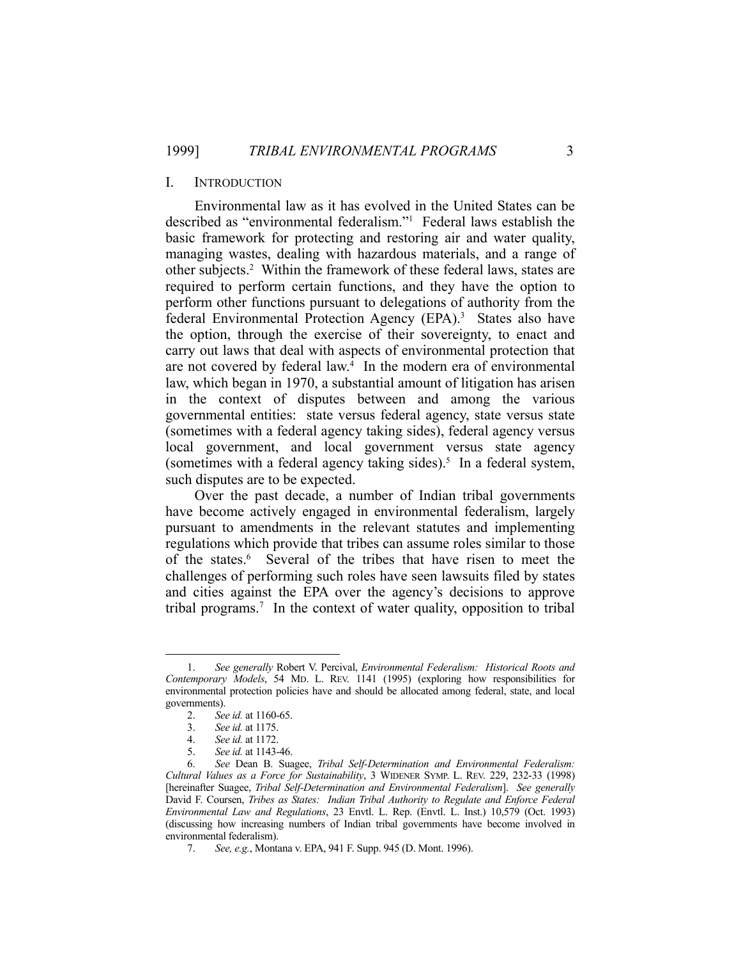# I. INTRODUCTION

 Environmental law as it has evolved in the United States can be described as "environmental federalism."1 Federal laws establish the basic framework for protecting and restoring air and water quality, managing wastes, dealing with hazardous materials, and a range of other subjects.<sup>2</sup> Within the framework of these federal laws, states are required to perform certain functions, and they have the option to perform other functions pursuant to delegations of authority from the federal Environmental Protection Agency (EPA).<sup>3</sup> States also have the option, through the exercise of their sovereignty, to enact and carry out laws that deal with aspects of environmental protection that are not covered by federal law.<sup>4</sup> In the modern era of environmental law, which began in 1970, a substantial amount of litigation has arisen in the context of disputes between and among the various governmental entities: state versus federal agency, state versus state (sometimes with a federal agency taking sides), federal agency versus local government, and local government versus state agency (sometimes with a federal agency taking sides).<sup>5</sup> In a federal system, such disputes are to be expected.

 Over the past decade, a number of Indian tribal governments have become actively engaged in environmental federalism, largely pursuant to amendments in the relevant statutes and implementing regulations which provide that tribes can assume roles similar to those of the states.<sup>6</sup> Several of the tribes that have risen to meet the challenges of performing such roles have seen lawsuits filed by states and cities against the EPA over the agency's decisions to approve tribal programs.<sup>7</sup> In the context of water quality, opposition to tribal

 <sup>1.</sup> *See generally* Robert V. Percival, *Environmental Federalism: Historical Roots and Contemporary Models*, 54 MD. L. REV. 1141 (1995) (exploring how responsibilities for environmental protection policies have and should be allocated among federal, state, and local governments).

 <sup>2.</sup> *See id.* at 1160-65.

 <sup>3.</sup> *See id.* at 1175.

 <sup>4.</sup> *See id.* at 1172.

 <sup>5.</sup> *See id.* at 1143-46.

 <sup>6.</sup> *See* Dean B. Suagee, *Tribal Self-Determination and Environmental Federalism: Cultural Values as a Force for Sustainability*, 3 WIDENER SYMP. L. REV. 229, 232-33 (1998) [hereinafter Suagee, *Tribal Self-Determination and Environmental Federalism*]. *See generally*  David F. Coursen, *Tribes as States: Indian Tribal Authority to Regulate and Enforce Federal Environmental Law and Regulations*, 23 Envtl. L. Rep. (Envtl. L. Inst.) 10,579 (Oct. 1993) (discussing how increasing numbers of Indian tribal governments have become involved in environmental federalism).

 <sup>7.</sup> *See, e.g.*, Montana v. EPA, 941 F. Supp. 945 (D. Mont. 1996).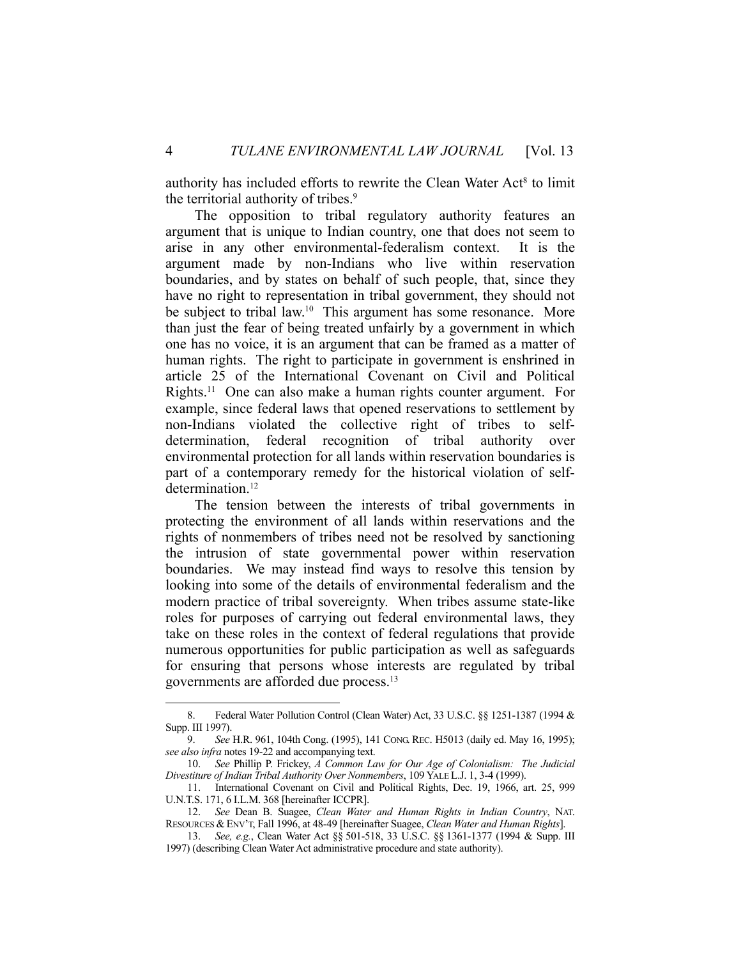authority has included efforts to rewrite the Clean Water Act<sup>8</sup> to limit the territorial authority of tribes.<sup>9</sup>

 The opposition to tribal regulatory authority features an argument that is unique to Indian country, one that does not seem to arise in any other environmental-federalism context. It is the argument made by non-Indians who live within reservation boundaries, and by states on behalf of such people, that, since they have no right to representation in tribal government, they should not be subject to tribal law.<sup>10</sup> This argument has some resonance. More than just the fear of being treated unfairly by a government in which one has no voice, it is an argument that can be framed as a matter of human rights. The right to participate in government is enshrined in article 25 of the International Covenant on Civil and Political Rights.11 One can also make a human rights counter argument. For example, since federal laws that opened reservations to settlement by non-Indians violated the collective right of tribes to selfdetermination, federal recognition of tribal authority over environmental protection for all lands within reservation boundaries is part of a contemporary remedy for the historical violation of selfdetermination.<sup>12</sup>

 The tension between the interests of tribal governments in protecting the environment of all lands within reservations and the rights of nonmembers of tribes need not be resolved by sanctioning the intrusion of state governmental power within reservation boundaries. We may instead find ways to resolve this tension by looking into some of the details of environmental federalism and the modern practice of tribal sovereignty. When tribes assume state-like roles for purposes of carrying out federal environmental laws, they take on these roles in the context of federal regulations that provide numerous opportunities for public participation as well as safeguards for ensuring that persons whose interests are regulated by tribal governments are afforded due process.13

 <sup>8.</sup> Federal Water Pollution Control (Clean Water) Act, 33 U.S.C. §§ 1251-1387 (1994 & Supp. III 1997).<br>9. See

 <sup>9.</sup> *See* H.R. 961, 104th Cong. (1995), 141 CONG. REC. H5013 (daily ed. May 16, 1995); *see also infra* notes 19-22 and accompanying text.

 <sup>10.</sup> *See* Phillip P. Frickey, *A Common Law for Our Age of Colonialism: The Judicial Divestiture of Indian Tribal Authority Over Nonmembers*, 109 YALE L.J. 1, 3-4 (1999).

 <sup>11.</sup> International Covenant on Civil and Political Rights, Dec. 19, 1966, art. 25, 999 U.N.T.S. 171, 6 I.L.M. 368 [hereinafter ICCPR].

 <sup>12.</sup> *See* Dean B. Suagee, *Clean Water and Human Rights in Indian Country*, NAT. RESOURCES & ENV'T, Fall 1996, at 48-49 [hereinafter Suagee, *Clean Water and Human Rights*].

 <sup>13.</sup> *See, e.g.*, Clean Water Act §§ 501-518, 33 U.S.C. §§ 1361-1377 (1994 & Supp. III 1997) (describing Clean Water Act administrative procedure and state authority).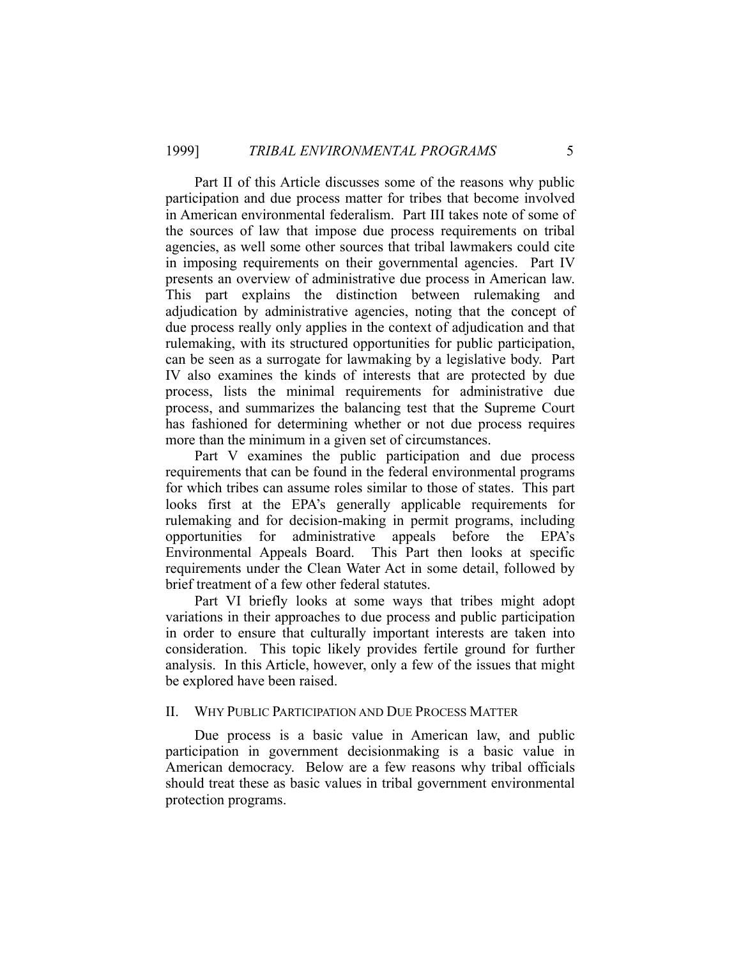Part II of this Article discusses some of the reasons why public participation and due process matter for tribes that become involved in American environmental federalism. Part III takes note of some of the sources of law that impose due process requirements on tribal agencies, as well some other sources that tribal lawmakers could cite in imposing requirements on their governmental agencies. Part IV presents an overview of administrative due process in American law. This part explains the distinction between rulemaking and adjudication by administrative agencies, noting that the concept of due process really only applies in the context of adjudication and that rulemaking, with its structured opportunities for public participation, can be seen as a surrogate for lawmaking by a legislative body. Part IV also examines the kinds of interests that are protected by due process, lists the minimal requirements for administrative due process, and summarizes the balancing test that the Supreme Court has fashioned for determining whether or not due process requires more than the minimum in a given set of circumstances.

 Part V examines the public participation and due process requirements that can be found in the federal environmental programs for which tribes can assume roles similar to those of states. This part looks first at the EPA's generally applicable requirements for rulemaking and for decision-making in permit programs, including opportunities for administrative appeals before the EPA's Environmental Appeals Board. This Part then looks at specific requirements under the Clean Water Act in some detail, followed by brief treatment of a few other federal statutes.

 Part VI briefly looks at some ways that tribes might adopt variations in their approaches to due process and public participation in order to ensure that culturally important interests are taken into consideration. This topic likely provides fertile ground for further analysis. In this Article, however, only a few of the issues that might be explored have been raised.

# II. WHY PUBLIC PARTICIPATION AND DUE PROCESS MATTER

 Due process is a basic value in American law, and public participation in government decisionmaking is a basic value in American democracy. Below are a few reasons why tribal officials should treat these as basic values in tribal government environmental protection programs.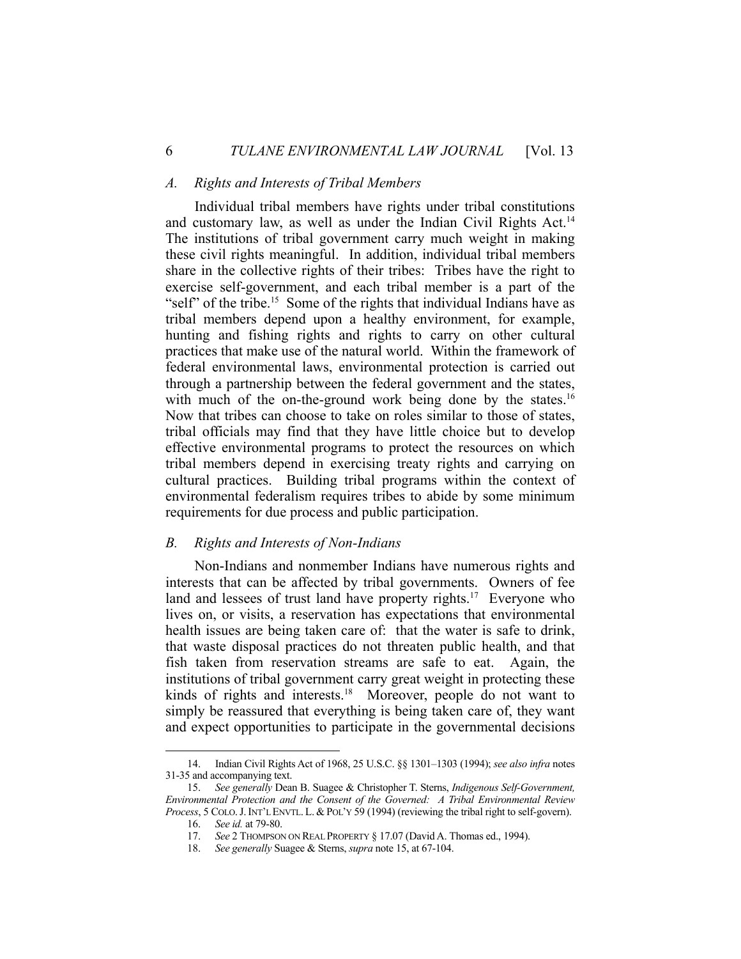#### *A. Rights and Interests of Tribal Members*

 Individual tribal members have rights under tribal constitutions and customary law, as well as under the Indian Civil Rights Act.<sup>14</sup> The institutions of tribal government carry much weight in making these civil rights meaningful. In addition, individual tribal members share in the collective rights of their tribes: Tribes have the right to exercise self-government, and each tribal member is a part of the "self" of the tribe.<sup>15</sup> Some of the rights that individual Indians have as tribal members depend upon a healthy environment, for example, hunting and fishing rights and rights to carry on other cultural practices that make use of the natural world. Within the framework of federal environmental laws, environmental protection is carried out through a partnership between the federal government and the states, with much of the on-the-ground work being done by the states.<sup>16</sup> Now that tribes can choose to take on roles similar to those of states, tribal officials may find that they have little choice but to develop effective environmental programs to protect the resources on which tribal members depend in exercising treaty rights and carrying on cultural practices. Building tribal programs within the context of environmental federalism requires tribes to abide by some minimum requirements for due process and public participation.

#### *B. Rights and Interests of Non-Indians*

 Non-Indians and nonmember Indians have numerous rights and interests that can be affected by tribal governments. Owners of fee land and lessees of trust land have property rights.<sup>17</sup> Everyone who lives on, or visits, a reservation has expectations that environmental health issues are being taken care of: that the water is safe to drink, that waste disposal practices do not threaten public health, and that fish taken from reservation streams are safe to eat. Again, the institutions of tribal government carry great weight in protecting these kinds of rights and interests.<sup>18</sup> Moreover, people do not want to simply be reassured that everything is being taken care of, they want and expect opportunities to participate in the governmental decisions

 <sup>14.</sup> Indian Civil Rights Act of 1968, 25 U.S.C. §§ 1301–1303 (1994); *see also infra* notes 31-35 and accompanying text.

 <sup>15.</sup> *See generally* Dean B. Suagee & Christopher T. Sterns, *Indigenous Self-Government, Environmental Protection and the Consent of the Governed: A Tribal Environmental Review Process*, 5 COLO.J.INT'L ENVTL. L. & POL'Y 59 (1994) (reviewing the tribal right to self-govern). 16. *See id.* at 79-80.

 <sup>17.</sup> *See* 2 THOMPSON ON REAL PROPERTY § 17.07 (David A. Thomas ed., 1994).

 <sup>18.</sup> *See generally* Suagee & Sterns, *supra* note 15, at 67-104.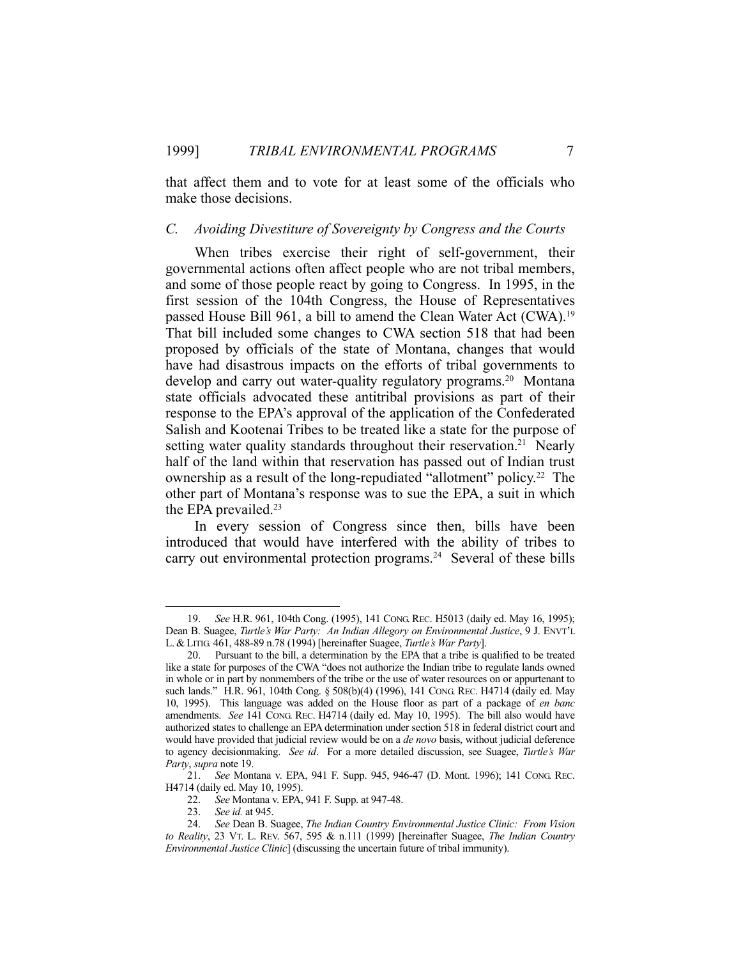that affect them and to vote for at least some of the officials who make those decisions.

# *C. Avoiding Divestiture of Sovereignty by Congress and the Courts*

 When tribes exercise their right of self-government, their governmental actions often affect people who are not tribal members, and some of those people react by going to Congress. In 1995, in the first session of the 104th Congress, the House of Representatives passed House Bill 961, a bill to amend the Clean Water Act (CWA).<sup>19</sup> That bill included some changes to CWA section 518 that had been proposed by officials of the state of Montana, changes that would have had disastrous impacts on the efforts of tribal governments to develop and carry out water-quality regulatory programs.<sup>20</sup> Montana state officials advocated these antitribal provisions as part of their response to the EPA's approval of the application of the Confederated Salish and Kootenai Tribes to be treated like a state for the purpose of setting water quality standards throughout their reservation.<sup>21</sup> Nearly half of the land within that reservation has passed out of Indian trust ownership as a result of the long-repudiated "allotment" policy. 22 The other part of Montana's response was to sue the EPA, a suit in which the EPA prevailed.<sup>23</sup>

 In every session of Congress since then, bills have been introduced that would have interfered with the ability of tribes to carry out environmental protection programs.<sup>24</sup> Several of these bills

 <sup>19.</sup> *See* H.R. 961, 104th Cong. (1995), 141 CONG. REC. H5013 (daily ed. May 16, 1995); Dean B. Suagee, *Turtle's War Party: An Indian Allegory on Environmental Justice*, 9 J. ENVT'L L. & LITIG. 461, 488-89 n.78 (1994) [hereinafter Suagee, *Turtle's War Party*].

 <sup>20.</sup> Pursuant to the bill, a determination by the EPA that a tribe is qualified to be treated like a state for purposes of the CWA "does not authorize the Indian tribe to regulate lands owned in whole or in part by nonmembers of the tribe or the use of water resources on or appurtenant to such lands." H.R. 961, 104th Cong. § 508(b)(4) (1996), 141 CONG. REC. H4714 (daily ed. May 10, 1995). This language was added on the House floor as part of a package of *en banc* amendments. *See* 141 CONG. REC. H4714 (daily ed. May 10, 1995). The bill also would have authorized states to challenge an EPA determination under section 518 in federal district court and would have provided that judicial review would be on a *de novo* basis, without judicial deference to agency decisionmaking. *See id*. For a more detailed discussion, see Suagee, *Turtle's War Party*, *supra* note 19.

 <sup>21.</sup> *See* Montana v. EPA, 941 F. Supp. 945, 946-47 (D. Mont. 1996); 141 CONG. REC. H4714 (daily ed. May 10, 1995).

 <sup>22.</sup> *See* Montana v. EPA, 941 F. Supp. at 947-48.

 <sup>23.</sup> *See id.* at 945.

 <sup>24.</sup> *See* Dean B. Suagee, *The Indian Country Environmental Justice Clinic: From Vision to Reality*, 23 VT. L. REV. 567, 595 & n.111 (1999) [hereinafter Suagee, *The Indian Country Environmental Justice Clinic*] (discussing the uncertain future of tribal immunity).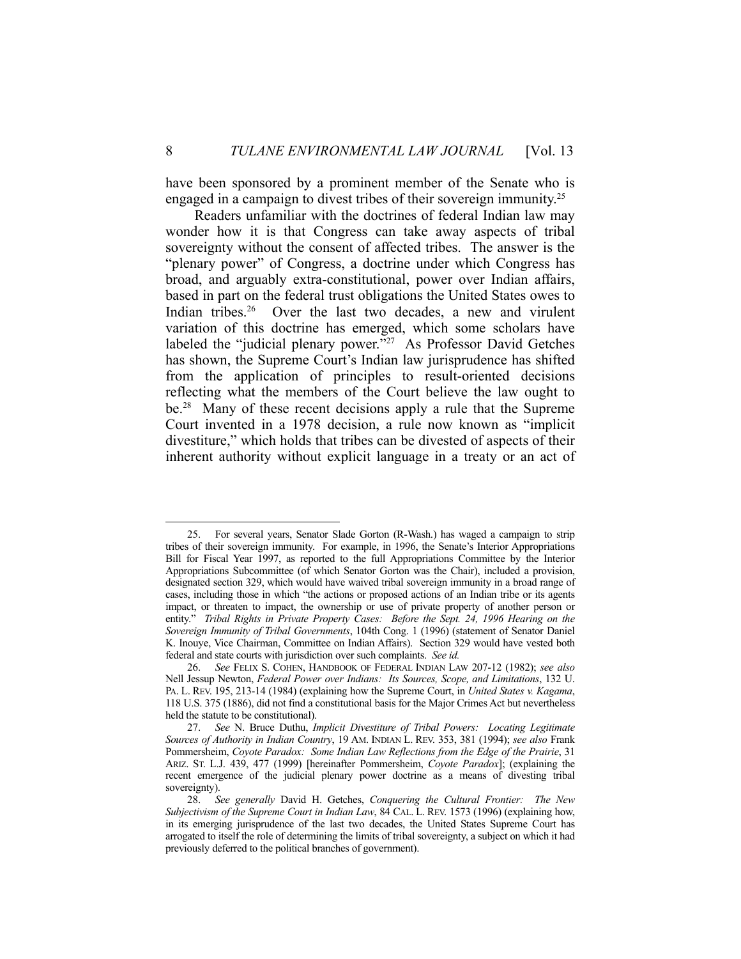have been sponsored by a prominent member of the Senate who is engaged in a campaign to divest tribes of their sovereign immunity.<sup>25</sup>

 Readers unfamiliar with the doctrines of federal Indian law may wonder how it is that Congress can take away aspects of tribal sovereignty without the consent of affected tribes. The answer is the "plenary power" of Congress, a doctrine under which Congress has broad, and arguably extra-constitutional, power over Indian affairs, based in part on the federal trust obligations the United States owes to Indian tribes.<sup>26</sup> Over the last two decades, a new and virulent variation of this doctrine has emerged, which some scholars have labeled the "judicial plenary power."<sup>27</sup> As Professor David Getches has shown, the Supreme Court's Indian law jurisprudence has shifted from the application of principles to result-oriented decisions reflecting what the members of the Court believe the law ought to be.28 Many of these recent decisions apply a rule that the Supreme Court invented in a 1978 decision, a rule now known as "implicit divestiture," which holds that tribes can be divested of aspects of their inherent authority without explicit language in a treaty or an act of

 <sup>25.</sup> For several years, Senator Slade Gorton (R-Wash.) has waged a campaign to strip tribes of their sovereign immunity. For example, in 1996, the Senate's Interior Appropriations Bill for Fiscal Year 1997, as reported to the full Appropriations Committee by the Interior Appropriations Subcommittee (of which Senator Gorton was the Chair), included a provision, designated section 329, which would have waived tribal sovereign immunity in a broad range of cases, including those in which "the actions or proposed actions of an Indian tribe or its agents impact, or threaten to impact, the ownership or use of private property of another person or entity." *Tribal Rights in Private Property Cases: Before the Sept. 24, 1996 Hearing on the Sovereign Immunity of Tribal Governments*, 104th Cong. 1 (1996) (statement of Senator Daniel K. Inouye, Vice Chairman, Committee on Indian Affairs). Section 329 would have vested both federal and state courts with jurisdiction over such complaints. *See id.*

 <sup>26.</sup> *See* FELIX S. COHEN, HANDBOOK OF FEDERAL INDIAN LAW 207-12 (1982); *see also*  Nell Jessup Newton, *Federal Power over Indians: Its Sources, Scope, and Limitations*, 132 U. PA. L. REV. 195, 213-14 (1984) (explaining how the Supreme Court, in *United States v. Kagama*, 118 U.S. 375 (1886), did not find a constitutional basis for the Major Crimes Act but nevertheless held the statute to be constitutional).

 <sup>27.</sup> *See* N. Bruce Duthu, *Implicit Divestiture of Tribal Powers: Locating Legitimate Sources of Authority in Indian Country*, 19 AM. INDIAN L. REV. 353, 381 (1994); *see also* Frank Pommersheim, *Coyote Paradox: Some Indian Law Reflections from the Edge of the Prairie*, 31 ARIZ. ST. L.J. 439, 477 (1999) [hereinafter Pommersheim, *Coyote Paradox*]; (explaining the recent emergence of the judicial plenary power doctrine as a means of divesting tribal sovereignty).

 <sup>28.</sup> *See generally* David H. Getches, *Conquering the Cultural Frontier: The New Subjectivism of the Supreme Court in Indian Law*, 84 CAL. L. REV. 1573 (1996) (explaining how, in its emerging jurisprudence of the last two decades, the United States Supreme Court has arrogated to itself the role of determining the limits of tribal sovereignty, a subject on which it had previously deferred to the political branches of government).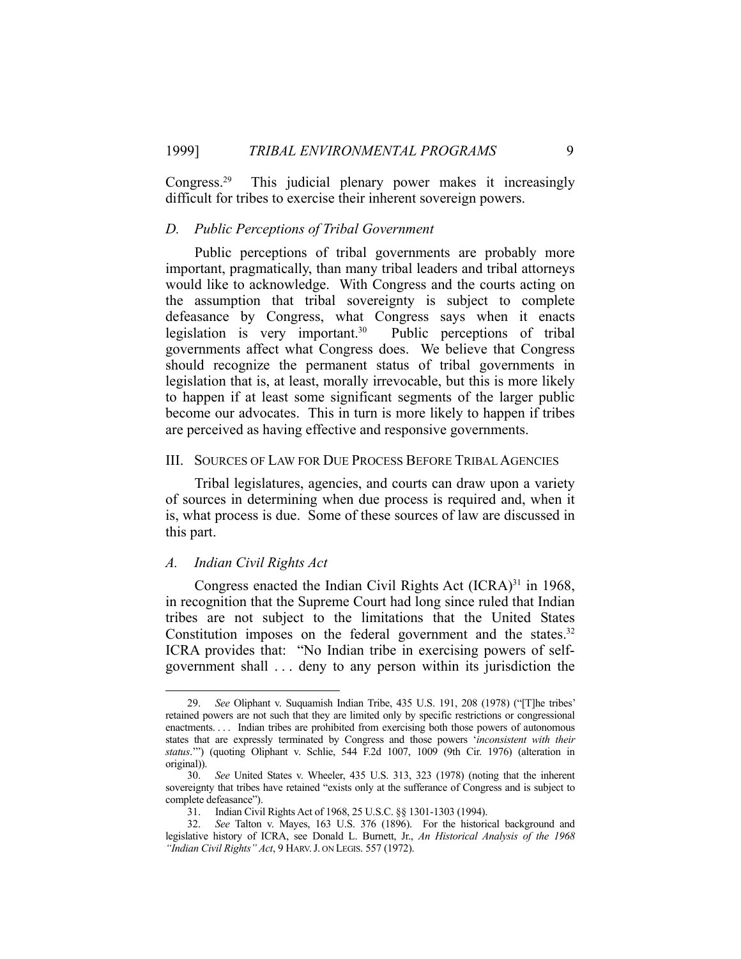Congress.29 This judicial plenary power makes it increasingly difficult for tribes to exercise their inherent sovereign powers.

# *D. Public Perceptions of Tribal Government*

 Public perceptions of tribal governments are probably more important, pragmatically, than many tribal leaders and tribal attorneys would like to acknowledge. With Congress and the courts acting on the assumption that tribal sovereignty is subject to complete defeasance by Congress, what Congress says when it enacts legislation is very important.<sup>30</sup> Public perceptions of tribal governments affect what Congress does. We believe that Congress should recognize the permanent status of tribal governments in legislation that is, at least, morally irrevocable, but this is more likely to happen if at least some significant segments of the larger public become our advocates. This in turn is more likely to happen if tribes are perceived as having effective and responsive governments.

#### III. SOURCES OF LAW FOR DUE PROCESS BEFORE TRIBAL AGENCIES

 Tribal legislatures, agencies, and courts can draw upon a variety of sources in determining when due process is required and, when it is, what process is due. Some of these sources of law are discussed in this part.

#### *A. Indian Civil Rights Act*

<u>.</u>

Congress enacted the Indian Civil Rights Act  $(ICRA)^{31}$  in 1968, in recognition that the Supreme Court had long since ruled that Indian tribes are not subject to the limitations that the United States Constitution imposes on the federal government and the states. $32$ ICRA provides that: "No Indian tribe in exercising powers of selfgovernment shall . . . deny to any person within its jurisdiction the

 <sup>29.</sup> *See* Oliphant v. Suquamish Indian Tribe, 435 U.S. 191, 208 (1978) ("[T]he tribes' retained powers are not such that they are limited only by specific restrictions or congressional enactments. . . . Indian tribes are prohibited from exercising both those powers of autonomous states that are expressly terminated by Congress and those powers '*inconsistent with their status*.'") (quoting Oliphant v. Schlie, 544 F.2d 1007, 1009 (9th Cir. 1976) (alteration in original)).

 <sup>30.</sup> *See* United States v. Wheeler, 435 U.S. 313, 323 (1978) (noting that the inherent sovereignty that tribes have retained "exists only at the sufferance of Congress and is subject to complete defeasance").

 <sup>31.</sup> Indian Civil Rights Act of 1968, 25 U.S.C. §§ 1301-1303 (1994).

 <sup>32.</sup> *See* Talton v. Mayes, 163 U.S. 376 (1896). For the historical background and legislative history of ICRA, see Donald L. Burnett, Jr., *An Historical Analysis of the 1968 "Indian Civil Rights" Act*, 9 HARV.J. ON LEGIS. 557 (1972).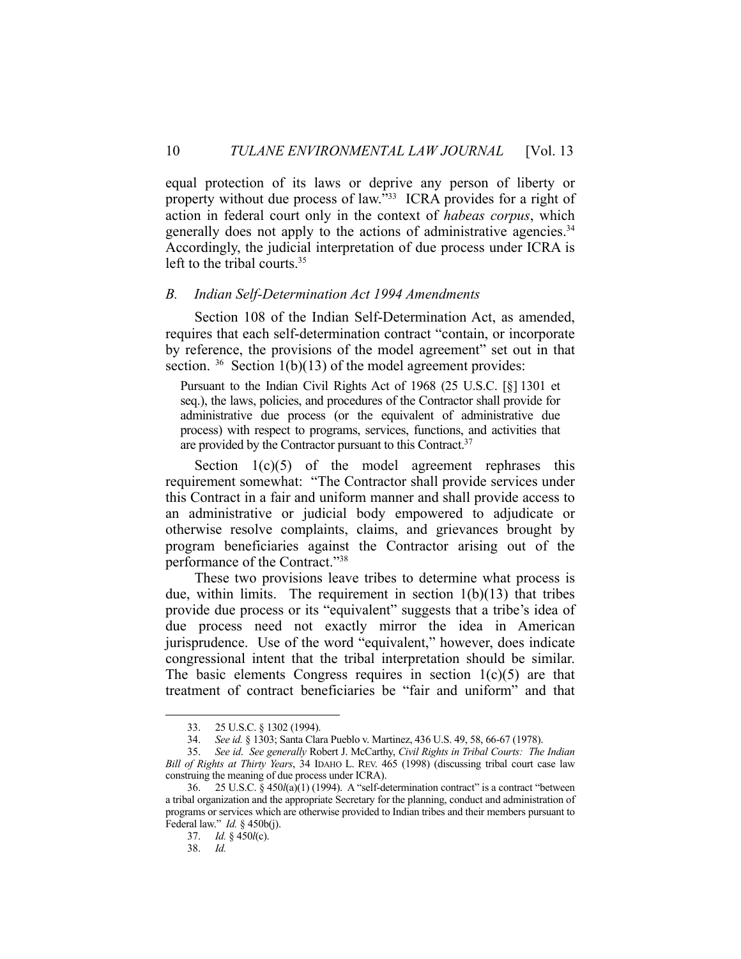equal protection of its laws or deprive any person of liberty or property without due process of law."<sup>33</sup> ICRA provides for a right of action in federal court only in the context of *habeas corpus*, which generally does not apply to the actions of administrative agencies.<sup>34</sup> Accordingly, the judicial interpretation of due process under ICRA is left to the tribal courts.<sup>35</sup>

# *B. Indian Self-Determination Act 1994 Amendments*

 Section 108 of the Indian Self-Determination Act, as amended, requires that each self-determination contract "contain, or incorporate by reference, the provisions of the model agreement" set out in that section.  $36$  Section 1(b)(13) of the model agreement provides:

Pursuant to the Indian Civil Rights Act of 1968 (25 U.S.C. [§] 1301 et seq.), the laws, policies, and procedures of the Contractor shall provide for administrative due process (or the equivalent of administrative due process) with respect to programs, services, functions, and activities that are provided by the Contractor pursuant to this Contract.<sup>37</sup>

Section  $1(c)(5)$  of the model agreement rephrases this requirement somewhat: "The Contractor shall provide services under this Contract in a fair and uniform manner and shall provide access to an administrative or judicial body empowered to adjudicate or otherwise resolve complaints, claims, and grievances brought by program beneficiaries against the Contractor arising out of the performance of the Contract."38

 These two provisions leave tribes to determine what process is due, within limits. The requirement in section 1(b)(13) that tribes provide due process or its "equivalent" suggests that a tribe's idea of due process need not exactly mirror the idea in American jurisprudence. Use of the word "equivalent," however, does indicate congressional intent that the tribal interpretation should be similar. The basic elements Congress requires in section  $1(c)(5)$  are that treatment of contract beneficiaries be "fair and uniform" and that

 <sup>33. 25</sup> U.S.C. § 1302 (1994).

 <sup>34.</sup> *See id.* § 1303; Santa Clara Pueblo v. Martinez, 436 U.S. 49, 58, 66-67 (1978).

 <sup>35.</sup> *See id*. *See generally* Robert J. McCarthy, *Civil Rights in Tribal Courts: The Indian Bill of Rights at Thirty Years*, 34 IDAHO L. REV. 465 (1998) (discussing tribal court case law construing the meaning of due process under ICRA).

 <sup>36. 25</sup> U.S.C. § 450*l*(a)(1) (1994). A "self-determination contract" is a contract "between a tribal organization and the appropriate Secretary for the planning, conduct and administration of programs or services which are otherwise provided to Indian tribes and their members pursuant to Federal law." *Id.* § 450b(j).

 <sup>37.</sup> *Id.* § 450*l*(c).

 <sup>38.</sup> *Id.*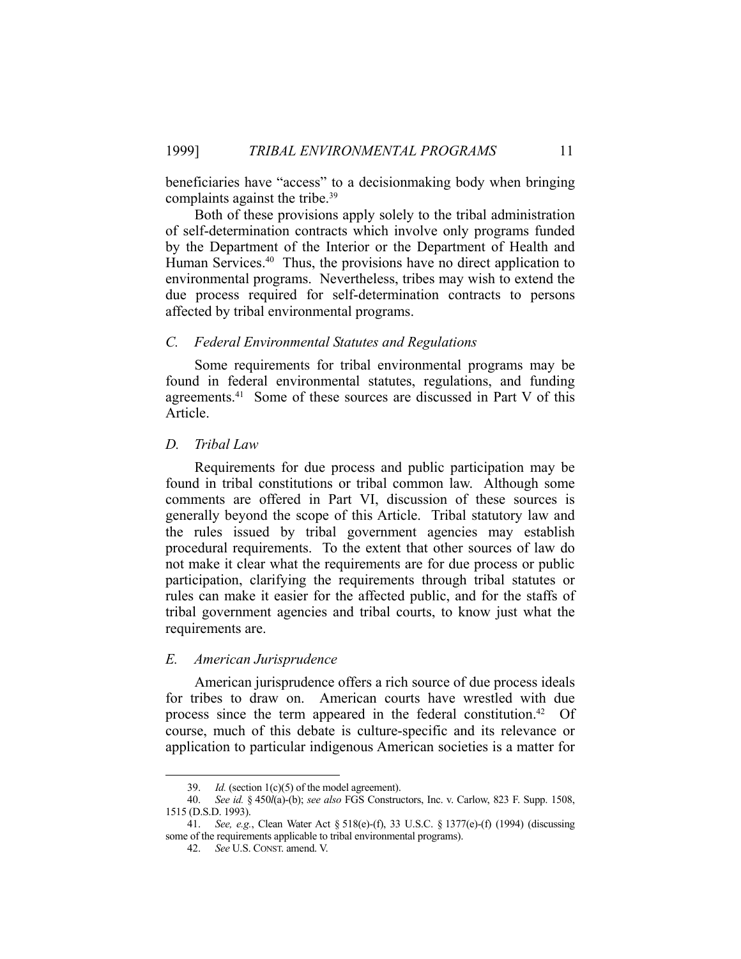beneficiaries have "access" to a decisionmaking body when bringing complaints against the tribe.<sup>39</sup>

 Both of these provisions apply solely to the tribal administration of self-determination contracts which involve only programs funded by the Department of the Interior or the Department of Health and Human Services.<sup>40</sup> Thus, the provisions have no direct application to environmental programs. Nevertheless, tribes may wish to extend the due process required for self-determination contracts to persons affected by tribal environmental programs.

# *C. Federal Environmental Statutes and Regulations*

 Some requirements for tribal environmental programs may be found in federal environmental statutes, regulations, and funding agreements.41 Some of these sources are discussed in Part V of this Article.

#### *D. Tribal Law*

 Requirements for due process and public participation may be found in tribal constitutions or tribal common law. Although some comments are offered in Part VI, discussion of these sources is generally beyond the scope of this Article. Tribal statutory law and the rules issued by tribal government agencies may establish procedural requirements. To the extent that other sources of law do not make it clear what the requirements are for due process or public participation, clarifying the requirements through tribal statutes or rules can make it easier for the affected public, and for the staffs of tribal government agencies and tribal courts, to know just what the requirements are.

#### *E. American Jurisprudence*

 American jurisprudence offers a rich source of due process ideals for tribes to draw on. American courts have wrestled with due process since the term appeared in the federal constitution.<sup>42</sup> Of course, much of this debate is culture-specific and its relevance or application to particular indigenous American societies is a matter for

 <sup>39.</sup> *Id.* (section 1(c)(5) of the model agreement).

 <sup>40.</sup> *See id.* § 450*l*(a)-(b); *see also* FGS Constructors, Inc. v. Carlow, 823 F. Supp. 1508, 1515 (D.S.D. 1993).

 <sup>41.</sup> *See, e.g.*, Clean Water Act § 518(e)-(f), 33 U.S.C. § 1377(e)-(f) (1994) (discussing some of the requirements applicable to tribal environmental programs).

 <sup>42.</sup> *See* U.S. CONST. amend. V.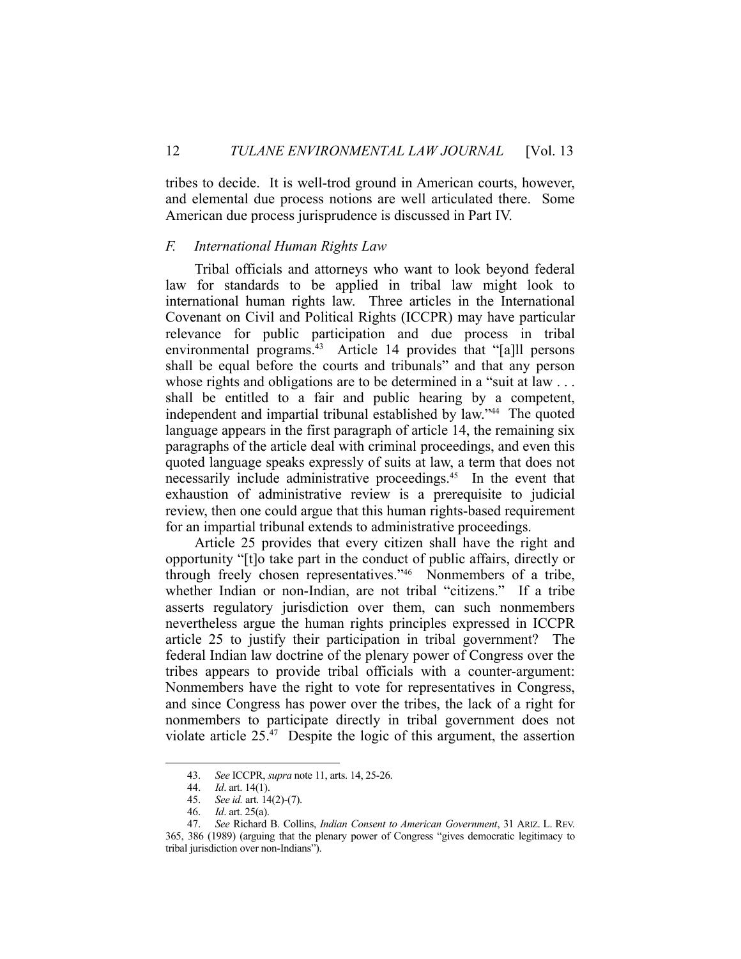tribes to decide. It is well-trod ground in American courts, however, and elemental due process notions are well articulated there. Some American due process jurisprudence is discussed in Part IV.

# *F. International Human Rights Law*

 Tribal officials and attorneys who want to look beyond federal law for standards to be applied in tribal law might look to international human rights law. Three articles in the International Covenant on Civil and Political Rights (ICCPR) may have particular relevance for public participation and due process in tribal environmental programs.43 Article 14 provides that "[a]ll persons shall be equal before the courts and tribunals" and that any person whose rights and obligations are to be determined in a "suit at law ... shall be entitled to a fair and public hearing by a competent, independent and impartial tribunal established by law."44 The quoted language appears in the first paragraph of article 14, the remaining six paragraphs of the article deal with criminal proceedings, and even this quoted language speaks expressly of suits at law, a term that does not necessarily include administrative proceedings.45 In the event that exhaustion of administrative review is a prerequisite to judicial review, then one could argue that this human rights-based requirement for an impartial tribunal extends to administrative proceedings.

 Article 25 provides that every citizen shall have the right and opportunity "[t]o take part in the conduct of public affairs, directly or through freely chosen representatives."46 Nonmembers of a tribe, whether Indian or non-Indian, are not tribal "citizens." If a tribe asserts regulatory jurisdiction over them, can such nonmembers nevertheless argue the human rights principles expressed in ICCPR article 25 to justify their participation in tribal government? The federal Indian law doctrine of the plenary power of Congress over the tribes appears to provide tribal officials with a counter-argument: Nonmembers have the right to vote for representatives in Congress, and since Congress has power over the tribes, the lack of a right for nonmembers to participate directly in tribal government does not violate article  $25<sup>47</sup>$  Despite the logic of this argument, the assertion

 <sup>43.</sup> *See* ICCPR, *supra* note 11, arts. 14, 25-26.

 <sup>44.</sup> *Id*. art. 14(1).

 <sup>45.</sup> *See id.* art. 14(2)-(7).

 <sup>46.</sup> *Id*. art. 25(a).

 <sup>47.</sup> *See* Richard B. Collins, *Indian Consent to American Government*, 31 ARIZ. L. REV. 365, 386 (1989) (arguing that the plenary power of Congress "gives democratic legitimacy to tribal jurisdiction over non-Indians").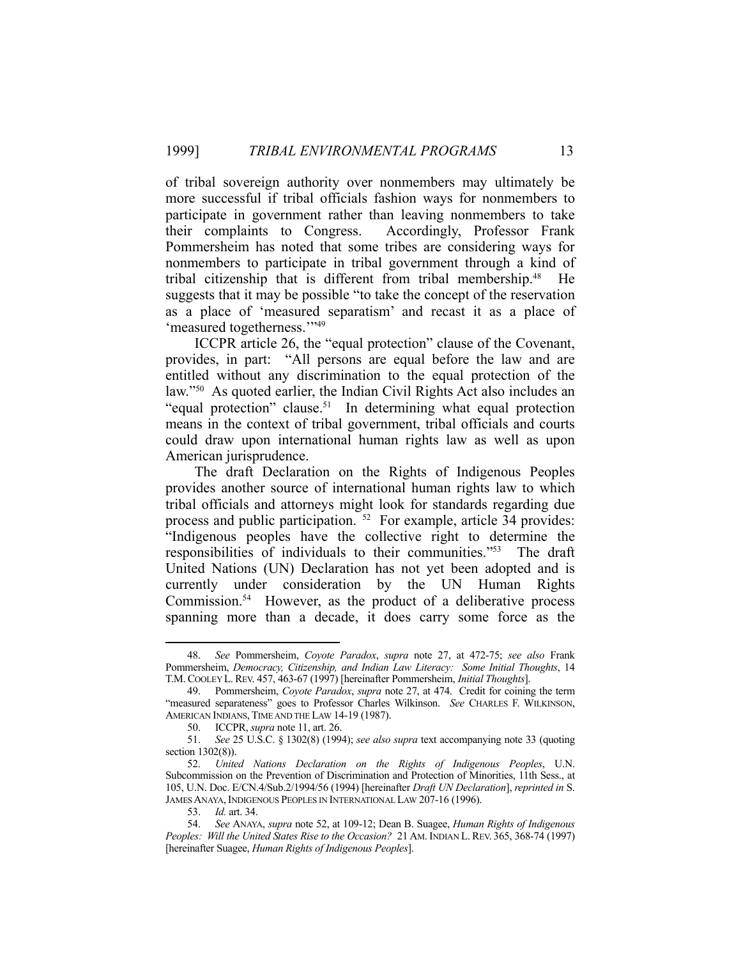of tribal sovereign authority over nonmembers may ultimately be more successful if tribal officials fashion ways for nonmembers to participate in government rather than leaving nonmembers to take their complaints to Congress. Accordingly, Professor Frank Pommersheim has noted that some tribes are considering ways for nonmembers to participate in tribal government through a kind of tribal citizenship that is different from tribal membership.<sup>48</sup> He suggests that it may be possible "to take the concept of the reservation as a place of 'measured separatism' and recast it as a place of 'measured togetherness."<sup>349</sup>

 ICCPR article 26, the "equal protection" clause of the Covenant, provides, in part: "All persons are equal before the law and are entitled without any discrimination to the equal protection of the law."50 As quoted earlier, the Indian Civil Rights Act also includes an "equal protection" clause.<sup>51</sup> In determining what equal protection means in the context of tribal government, tribal officials and courts could draw upon international human rights law as well as upon American jurisprudence.

 The draft Declaration on the Rights of Indigenous Peoples provides another source of international human rights law to which tribal officials and attorneys might look for standards regarding due process and public participation. 52 For example, article 34 provides: "Indigenous peoples have the collective right to determine the responsibilities of individuals to their communities."53 The draft United Nations (UN) Declaration has not yet been adopted and is currently under consideration by the UN Human Rights Commission.54 However, as the product of a deliberative process spanning more than a decade, it does carry some force as the

 <sup>48.</sup> *See* Pommersheim, *Coyote Paradox*, *supra* note 27, at 472-75; *see also* Frank Pommersheim, *Democracy, Citizenship, and Indian Law Literacy: Some Initial Thoughts*, 14 T.M.COOLEY L. REV. 457, 463-67 (1997) [hereinafter Pommersheim, *Initial Thoughts*].

 <sup>49.</sup> Pommersheim, *Coyote Paradox*, *supra* note 27, at 474. Credit for coining the term "measured separateness" goes to Professor Charles Wilkinson. *See* CHARLES F. WILKINSON, AMERICAN INDIANS, TIME AND THE LAW 14-19 (1987).

 <sup>50.</sup> ICCPR, *supra* note 11, art. 26.

 <sup>51.</sup> *See* 25 U.S.C. § 1302(8) (1994); *see also supra* text accompanying note 33 (quoting section 1302(8)).

 <sup>52.</sup> *United Nations Declaration on the Rights of Indigenous Peoples*, U.N. Subcommission on the Prevention of Discrimination and Protection of Minorities, 11th Sess., at 105, U.N. Doc. E/CN.4/Sub.2/1994/56 (1994) [hereinafter *Draft UN Declaration*], *reprinted in* S. JAMES ANAYA, INDIGENOUS PEOPLES IN INTERNATIONAL LAW 207-16 (1996).

 <sup>53.</sup> *Id.* art. 34.

 <sup>54.</sup> *See* ANAYA, *supra* note 52, at 109-12; Dean B. Suagee, *Human Rights of Indigenous Peoples: Will the United States Rise to the Occasion?* 21 AM. INDIAN L. REV. 365, 368-74 (1997) [hereinafter Suagee, *Human Rights of Indigenous Peoples*].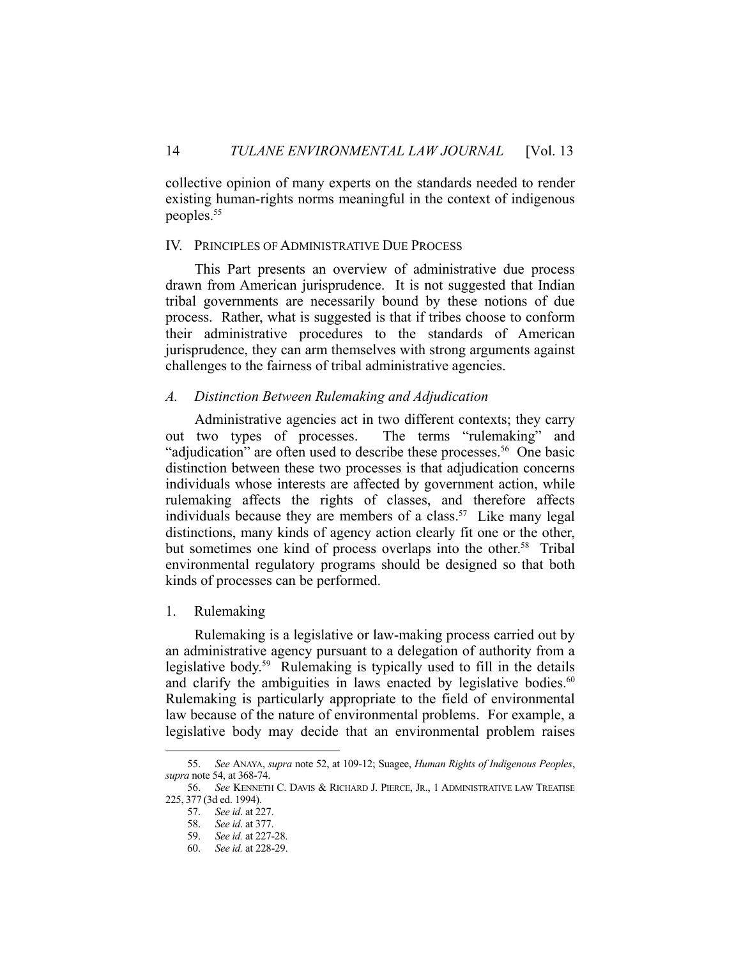collective opinion of many experts on the standards needed to render existing human-rights norms meaningful in the context of indigenous peoples.55

#### IV. PRINCIPLES OF ADMINISTRATIVE DUE PROCESS

 This Part presents an overview of administrative due process drawn from American jurisprudence. It is not suggested that Indian tribal governments are necessarily bound by these notions of due process. Rather, what is suggested is that if tribes choose to conform their administrative procedures to the standards of American jurisprudence, they can arm themselves with strong arguments against challenges to the fairness of tribal administrative agencies.

# *A. Distinction Between Rulemaking and Adjudication*

 Administrative agencies act in two different contexts; they carry out two types of processes. The terms "rulemaking" and "adjudication" are often used to describe these processes.<sup>56</sup> One basic distinction between these two processes is that adjudication concerns individuals whose interests are affected by government action, while rulemaking affects the rights of classes, and therefore affects individuals because they are members of a class.<sup>57</sup> Like many legal distinctions, many kinds of agency action clearly fit one or the other, but sometimes one kind of process overlaps into the other.<sup>58</sup> Tribal environmental regulatory programs should be designed so that both kinds of processes can be performed.

1. Rulemaking

 Rulemaking is a legislative or law-making process carried out by an administrative agency pursuant to a delegation of authority from a legislative body.59 Rulemaking is typically used to fill in the details and clarify the ambiguities in laws enacted by legislative bodies. $60$ Rulemaking is particularly appropriate to the field of environmental law because of the nature of environmental problems. For example, a legislative body may decide that an environmental problem raises

 <sup>55.</sup> *See* ANAYA, *supra* note 52, at 109-12; Suagee, *Human Rights of Indigenous Peoples*, *supra* note 54, at 368-74.

 <sup>56.</sup> *See* KENNETH C. DAVIS & RICHARD J. PIERCE, JR., 1 ADMINISTRATIVE LAW TREATISE 225, 377 (3d ed. 1994).

 <sup>57.</sup> *See id*. at 227.

 <sup>58.</sup> *See id*. at 377.

 <sup>59.</sup> *See id.* at 227-28.

 <sup>60.</sup> *See id.* at 228-29.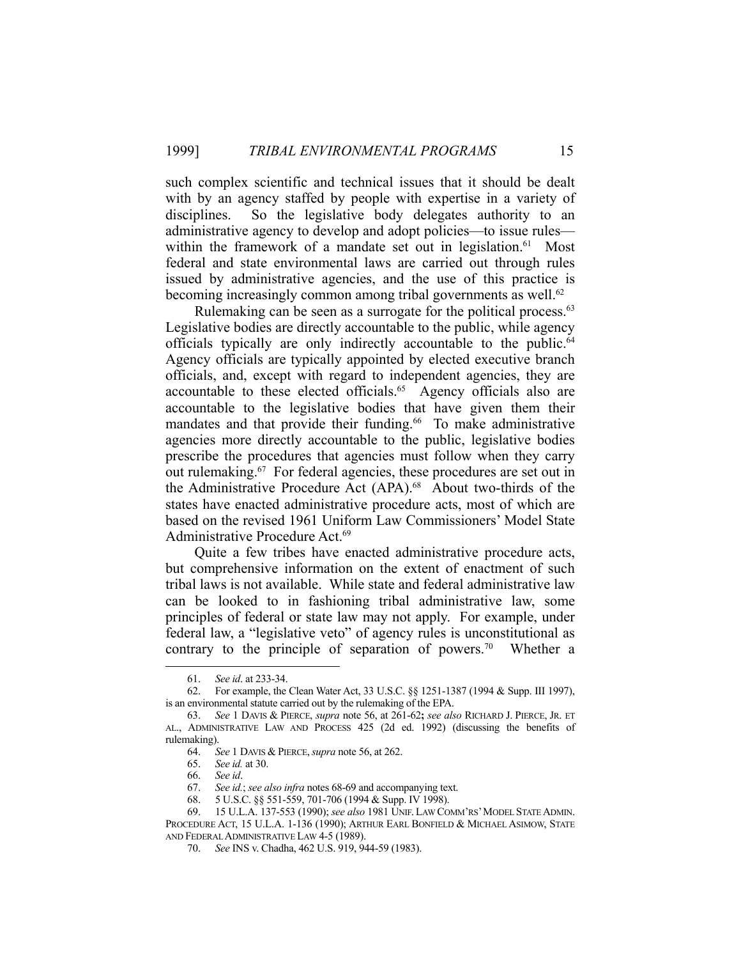such complex scientific and technical issues that it should be dealt with by an agency staffed by people with expertise in a variety of disciplines. So the legislative body delegates authority to an administrative agency to develop and adopt policies—to issue rules within the framework of a mandate set out in legislation.<sup>61</sup> Most federal and state environmental laws are carried out through rules issued by administrative agencies, and the use of this practice is becoming increasingly common among tribal governments as well.<sup>62</sup>

Rulemaking can be seen as a surrogate for the political process.<sup>63</sup> Legislative bodies are directly accountable to the public, while agency officials typically are only indirectly accountable to the public.<sup>64</sup> Agency officials are typically appointed by elected executive branch officials, and, except with regard to independent agencies, they are accountable to these elected officials.65 Agency officials also are accountable to the legislative bodies that have given them their mandates and that provide their funding.<sup>66</sup> To make administrative agencies more directly accountable to the public, legislative bodies prescribe the procedures that agencies must follow when they carry out rulemaking. $67$  For federal agencies, these procedures are set out in the Administrative Procedure Act (APA).<sup>68</sup> About two-thirds of the states have enacted administrative procedure acts, most of which are based on the revised 1961 Uniform Law Commissioners' Model State Administrative Procedure Act.<sup>69</sup>

 Quite a few tribes have enacted administrative procedure acts, but comprehensive information on the extent of enactment of such tribal laws is not available. While state and federal administrative law can be looked to in fashioning tribal administrative law, some principles of federal or state law may not apply. For example, under federal law, a "legislative veto" of agency rules is unconstitutional as contrary to the principle of separation of powers.<sup>70</sup> Whether a

 <sup>61.</sup> *See id*. at 233-34.

 <sup>62.</sup> For example, the Clean Water Act, 33 U.S.C. §§ 1251-1387 (1994 & Supp. III 1997), is an environmental statute carried out by the rulemaking of the EPA.

 <sup>63.</sup> *See* 1 DAVIS & PIERCE, *supra* note 56, at 261-62**;** *see also* RICHARD J. PIERCE, JR. ET AL., ADMINISTRATIVE LAW AND PROCESS 425 (2d ed. 1992) (discussing the benefits of rulemaking).

 <sup>64.</sup> *See* 1 DAVIS & PIERCE,*supra* note 56, at 262.

 <sup>65.</sup> *See id.* at 30.

 <sup>66.</sup> *See id*.

 <sup>67.</sup> *See id.*; *see also infra* notes 68-69 and accompanying text.

 <sup>68. 5</sup> U.S.C. §§ 551-559, 701-706 (1994 & Supp. IV 1998).

 <sup>69. 15</sup> U.L.A. 137-553 (1990); *see also* 1981 UNIF. LAW COMM'RS'MODEL STATE ADMIN. PROCEDURE ACT, 15 U.L.A. 1-136 (1990); ARTHUR EARL BONFIELD & MICHAEL ASIMOW, STATE AND FEDERAL ADMINISTRATIVE LAW 4-5 (1989).

 <sup>70.</sup> *See* INS v. Chadha, 462 U.S. 919, 944-59 (1983).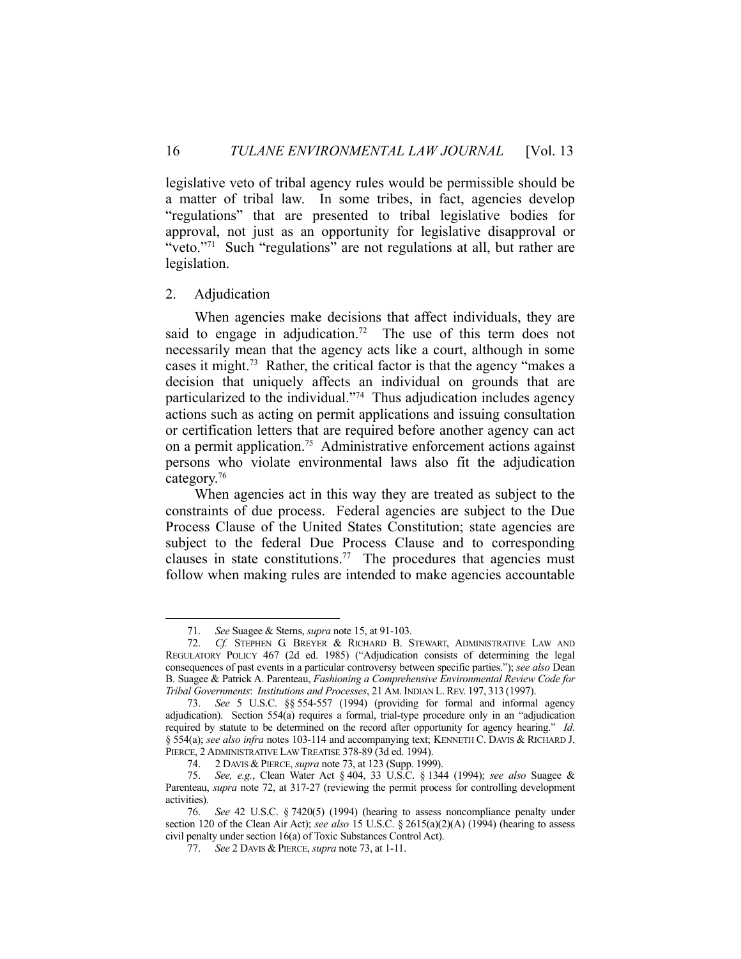legislative veto of tribal agency rules would be permissible should be a matter of tribal law. In some tribes, in fact, agencies develop "regulations" that are presented to tribal legislative bodies for approval, not just as an opportunity for legislative disapproval or "veto."<sup>71</sup> Such "regulations" are not regulations at all, but rather are legislation.

# 2. Adjudication

1

 When agencies make decisions that affect individuals, they are said to engage in adjudication.<sup>72</sup> The use of this term does not necessarily mean that the agency acts like a court, although in some cases it might.73 Rather, the critical factor is that the agency "makes a decision that uniquely affects an individual on grounds that are particularized to the individual."74 Thus adjudication includes agency actions such as acting on permit applications and issuing consultation or certification letters that are required before another agency can act on a permit application.75 Administrative enforcement actions against persons who violate environmental laws also fit the adjudication category.76

 When agencies act in this way they are treated as subject to the constraints of due process. Federal agencies are subject to the Due Process Clause of the United States Constitution; state agencies are subject to the federal Due Process Clause and to corresponding clauses in state constitutions.<sup>77</sup> The procedures that agencies must follow when making rules are intended to make agencies accountable

 <sup>71.</sup> *See* Suagee & Sterns, *supra* note 15, at 91-103.

 <sup>72.</sup> *Cf.* STEPHEN G. BREYER & RICHARD B. STEWART, ADMINISTRATIVE LAW AND REGULATORY POLICY 467 (2d ed. 1985) ("Adjudication consists of determining the legal consequences of past events in a particular controversy between specific parties."); *see also* Dean B. Suagee & Patrick A. Parenteau, *Fashioning a Comprehensive Environmental Review Code for Tribal Governments*: *Institutions and Processes*, 21 AM.INDIAN L.REV. 197, 313 (1997).

 <sup>73.</sup> *See* 5 U.S.C. §§ 554-557 (1994) (providing for formal and informal agency adjudication). Section 554(a) requires a formal, trial-type procedure only in an "adjudication required by statute to be determined on the record after opportunity for agency hearing." *Id*. § 554(a); *see also infra* notes 103-114 and accompanying text; KENNETH C. DAVIS & RICHARD J. PIERCE, 2 ADMINISTRATIVE LAW TREATISE 378-89 (3d ed. 1994).

 <sup>74. 2</sup> DAVIS & PIERCE, *supra* note 73, at 123 (Supp. 1999).

 <sup>75.</sup> *See, e.g.*, Clean Water Act § 404, 33 U.S.C. § 1344 (1994); *see also* Suagee & Parenteau, *supra* note 72, at 317-27 (reviewing the permit process for controlling development activities).

 <sup>76.</sup> *See* 42 U.S.C. § 7420(5) (1994) (hearing to assess noncompliance penalty under section 120 of the Clean Air Act); *see also* 15 U.S.C. § 2615(a)(2)(A) (1994) (hearing to assess civil penalty under section 16(a) of Toxic Substances Control Act).

 <sup>77.</sup> *See* 2 DAVIS & PIERCE, *supra* note 73, at 1-11.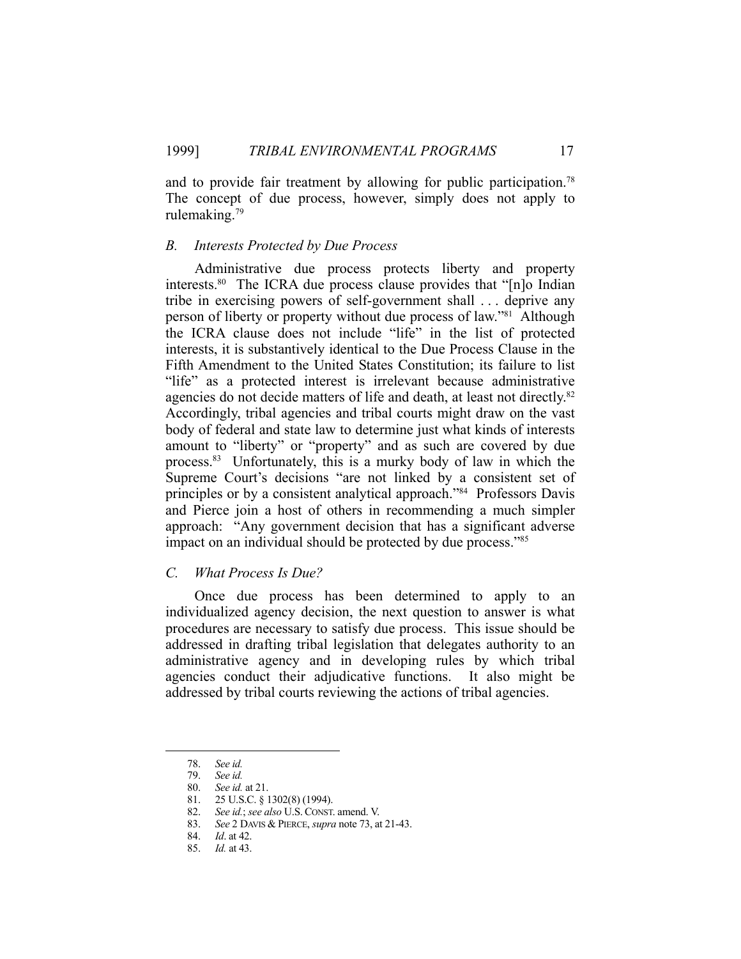and to provide fair treatment by allowing for public participation.<sup>78</sup> The concept of due process, however, simply does not apply to rulemaking.79

#### *B. Interests Protected by Due Process*

 Administrative due process protects liberty and property interests.80 The ICRA due process clause provides that "[n]o Indian tribe in exercising powers of self-government shall . . . deprive any person of liberty or property without due process of law."81 Although the ICRA clause does not include "life" in the list of protected interests, it is substantively identical to the Due Process Clause in the Fifth Amendment to the United States Constitution; its failure to list "life" as a protected interest is irrelevant because administrative agencies do not decide matters of life and death, at least not directly.<sup>82</sup> Accordingly, tribal agencies and tribal courts might draw on the vast body of federal and state law to determine just what kinds of interests amount to "liberty" or "property" and as such are covered by due process.83 Unfortunately, this is a murky body of law in which the Supreme Court's decisions "are not linked by a consistent set of principles or by a consistent analytical approach."84 Professors Davis and Pierce join a host of others in recommending a much simpler approach: "Any government decision that has a significant adverse impact on an individual should be protected by due process."85

# *C. What Process Is Due?*

 Once due process has been determined to apply to an individualized agency decision, the next question to answer is what procedures are necessary to satisfy due process. This issue should be addressed in drafting tribal legislation that delegates authority to an administrative agency and in developing rules by which tribal agencies conduct their adjudicative functions. It also might be addressed by tribal courts reviewing the actions of tribal agencies.

 <sup>78.</sup> *See id.* 

 <sup>79.</sup> *See id.* 

 <sup>80.</sup> *See id.* at 21.

 <sup>81. 25</sup> U.S.C. § 1302(8) (1994).

 <sup>82.</sup> *See id.*; *see also* U.S.CONST. amend. V.

 <sup>83.</sup> *See* 2 DAVIS & PIERCE, *supra* note 73, at 21-43.

 <sup>84.</sup> *Id*. at 42.

 <sup>85.</sup> *Id.* at 43.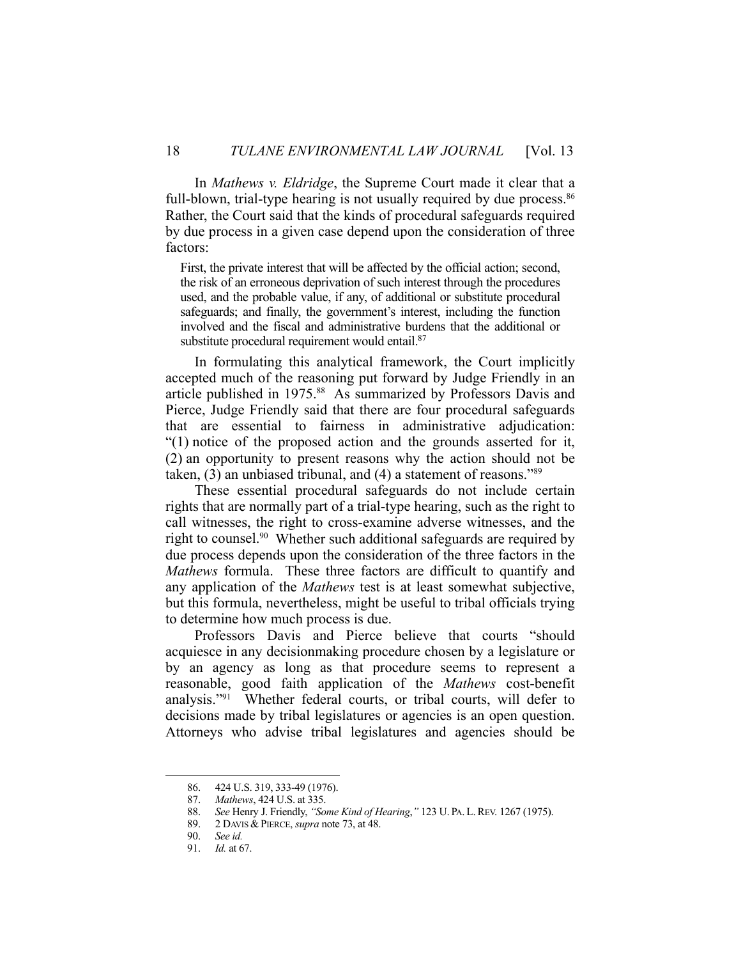In *Mathews v. Eldridge*, the Supreme Court made it clear that a full-blown, trial-type hearing is not usually required by due process. $86$ Rather, the Court said that the kinds of procedural safeguards required by due process in a given case depend upon the consideration of three factors:

First, the private interest that will be affected by the official action; second, the risk of an erroneous deprivation of such interest through the procedures used, and the probable value, if any, of additional or substitute procedural safeguards; and finally, the government's interest, including the function involved and the fiscal and administrative burdens that the additional or substitute procedural requirement would entail.<sup>87</sup>

 In formulating this analytical framework, the Court implicitly accepted much of the reasoning put forward by Judge Friendly in an article published in 1975.88 As summarized by Professors Davis and Pierce, Judge Friendly said that there are four procedural safeguards that are essential to fairness in administrative adjudication: "(1) notice of the proposed action and the grounds asserted for it, (2) an opportunity to present reasons why the action should not be taken, (3) an unbiased tribunal, and (4) a statement of reasons."89

 These essential procedural safeguards do not include certain rights that are normally part of a trial-type hearing, such as the right to call witnesses, the right to cross-examine adverse witnesses, and the right to counsel.<sup>90</sup> Whether such additional safeguards are required by due process depends upon the consideration of the three factors in the *Mathews* formula. These three factors are difficult to quantify and any application of the *Mathews* test is at least somewhat subjective, but this formula, nevertheless, might be useful to tribal officials trying to determine how much process is due.

 Professors Davis and Pierce believe that courts "should acquiesce in any decisionmaking procedure chosen by a legislature or by an agency as long as that procedure seems to represent a reasonable, good faith application of the *Mathews* cost-benefit analysis."91 Whether federal courts, or tribal courts, will defer to decisions made by tribal legislatures or agencies is an open question. Attorneys who advise tribal legislatures and agencies should be

 <sup>86. 424</sup> U.S. 319, 333-49 (1976).

 <sup>87.</sup> *Mathews*, 424 U.S. at 335.

 <sup>88.</sup> *See* Henry J. Friendly, *"Some Kind of Hearing*,*"* 123 U. PA. L.REV. 1267 (1975).

 <sup>89. 2</sup> DAVIS & PIERCE, *supra* note 73, at 48.

 <sup>90.</sup> *See id.* 

 <sup>91.</sup> *Id.* at 67.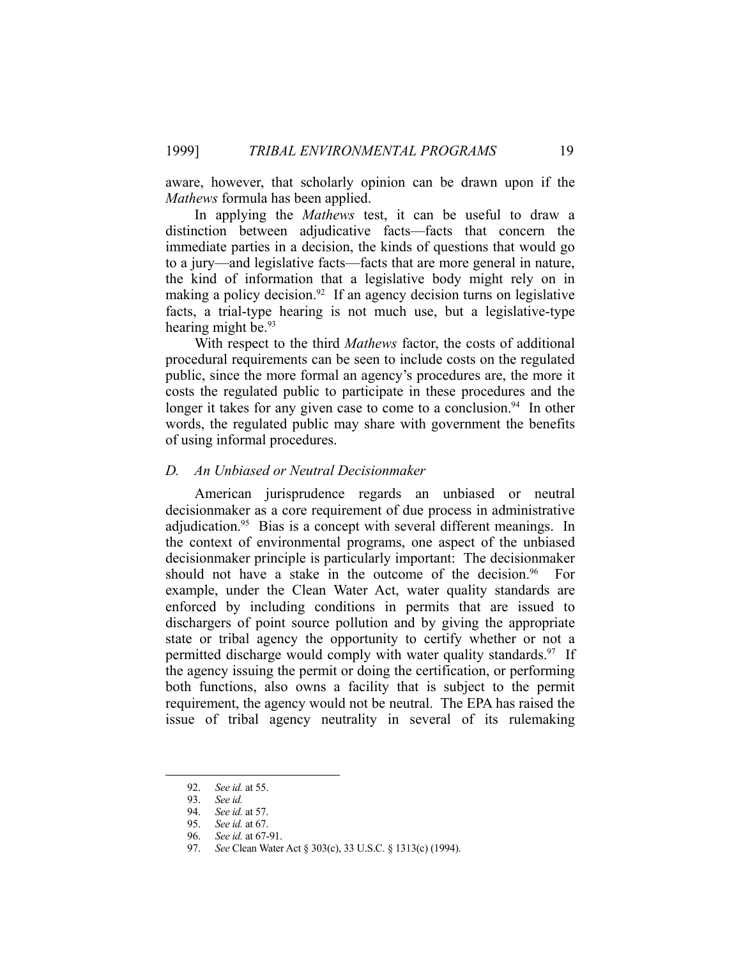aware, however, that scholarly opinion can be drawn upon if the *Mathews* formula has been applied.

 In applying the *Mathews* test, it can be useful to draw a distinction between adjudicative facts—facts that concern the immediate parties in a decision, the kinds of questions that would go to a jury—and legislative facts—facts that are more general in nature, the kind of information that a legislative body might rely on in making a policy decision.<sup>92</sup> If an agency decision turns on legislative facts, a trial-type hearing is not much use, but a legislative-type hearing might be.<sup>93</sup>

 With respect to the third *Mathews* factor, the costs of additional procedural requirements can be seen to include costs on the regulated public, since the more formal an agency's procedures are, the more it costs the regulated public to participate in these procedures and the longer it takes for any given case to come to a conclusion.<sup>94</sup> In other words, the regulated public may share with government the benefits of using informal procedures.

#### *D. An Unbiased or Neutral Decisionmaker*

 American jurisprudence regards an unbiased or neutral decisionmaker as a core requirement of due process in administrative adjudication.<sup>95</sup> Bias is a concept with several different meanings. In the context of environmental programs, one aspect of the unbiased decisionmaker principle is particularly important: The decisionmaker should not have a stake in the outcome of the decision.<sup>96</sup> For example, under the Clean Water Act, water quality standards are enforced by including conditions in permits that are issued to dischargers of point source pollution and by giving the appropriate state or tribal agency the opportunity to certify whether or not a permitted discharge would comply with water quality standards.<sup>97</sup> If the agency issuing the permit or doing the certification, or performing both functions, also owns a facility that is subject to the permit requirement, the agency would not be neutral. The EPA has raised the issue of tribal agency neutrality in several of its rulemaking

 <sup>92.</sup> *See id.* at 55.

 <sup>93.</sup> *See id.* 

 <sup>94.</sup> *See id.* at 57.

 <sup>95.</sup> *See id.* at 67.

 <sup>96.</sup> *See id.* at 67-91.

 <sup>97.</sup> *See* Clean Water Act § 303(c), 33 U.S.C. § 1313(c) (1994).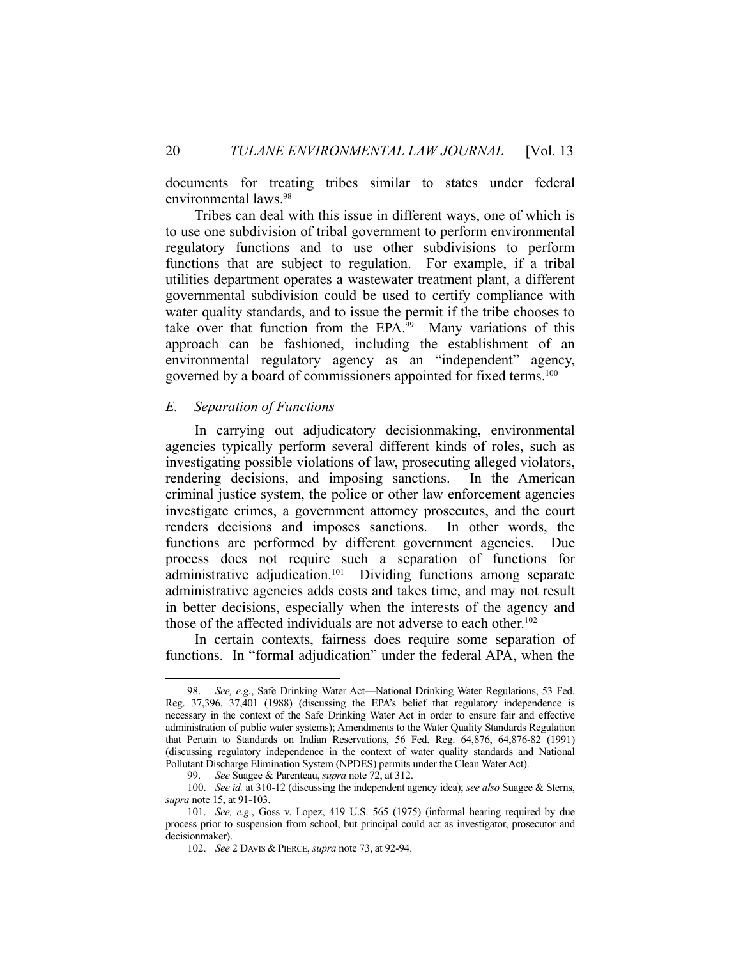documents for treating tribes similar to states under federal environmental laws.98

 Tribes can deal with this issue in different ways, one of which is to use one subdivision of tribal government to perform environmental regulatory functions and to use other subdivisions to perform functions that are subject to regulation. For example, if a tribal utilities department operates a wastewater treatment plant, a different governmental subdivision could be used to certify compliance with water quality standards, and to issue the permit if the tribe chooses to take over that function from the EPA.99 Many variations of this approach can be fashioned, including the establishment of an environmental regulatory agency as an "independent" agency, governed by a board of commissioners appointed for fixed terms.100

# *E. Separation of Functions*

 In carrying out adjudicatory decisionmaking, environmental agencies typically perform several different kinds of roles, such as investigating possible violations of law, prosecuting alleged violators, rendering decisions, and imposing sanctions. In the American criminal justice system, the police or other law enforcement agencies investigate crimes, a government attorney prosecutes, and the court renders decisions and imposes sanctions. In other words, the functions are performed by different government agencies. Due process does not require such a separation of functions for administrative adjudication.<sup>101</sup> Dividing functions among separate administrative agencies adds costs and takes time, and may not result in better decisions, especially when the interests of the agency and those of the affected individuals are not adverse to each other. 102

 In certain contexts, fairness does require some separation of functions. In "formal adjudication" under the federal APA, when the

 <sup>98.</sup> *See, e.g.*, Safe Drinking Water Act—National Drinking Water Regulations, 53 Fed. Reg. 37,396, 37,401 (1988) (discussing the EPA's belief that regulatory independence is necessary in the context of the Safe Drinking Water Act in order to ensure fair and effective administration of public water systems); Amendments to the Water Quality Standards Regulation that Pertain to Standards on Indian Reservations, 56 Fed. Reg. 64,876, 64,876-82 (1991) (discussing regulatory independence in the context of water quality standards and National Pollutant Discharge Elimination System (NPDES) permits under the Clean Water Act).

 <sup>99.</sup> *See* Suagee & Parenteau, *supra* note 72, at 312.

 <sup>100.</sup> *See id.* at 310-12 (discussing the independent agency idea); *see also* Suagee & Sterns, *supra* note 15, at 91-103.

 <sup>101.</sup> *See, e.g.*, Goss v. Lopez, 419 U.S. 565 (1975) (informal hearing required by due process prior to suspension from school, but principal could act as investigator, prosecutor and decisionmaker).

 <sup>102.</sup> *See* 2 DAVIS & PIERCE, *supra* note 73, at 92-94.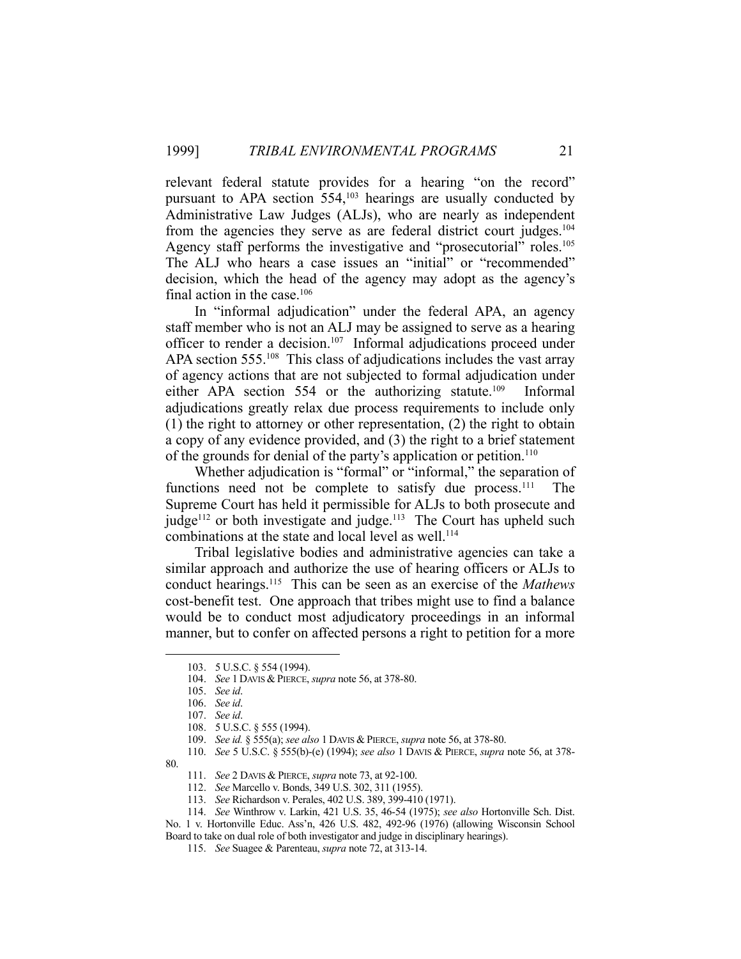relevant federal statute provides for a hearing "on the record" pursuant to APA section  $554$ ,<sup>103</sup> hearings are usually conducted by Administrative Law Judges (ALJs), who are nearly as independent from the agencies they serve as are federal district court judges.<sup>104</sup> Agency staff performs the investigative and "prosecutorial" roles.<sup>105</sup> The ALJ who hears a case issues an "initial" or "recommended" decision, which the head of the agency may adopt as the agency's final action in the case. $106$ 

 In "informal adjudication" under the federal APA, an agency staff member who is not an ALJ may be assigned to serve as a hearing officer to render a decision.<sup>107</sup> Informal adjudications proceed under APA section 555.<sup>108</sup> This class of adjudications includes the vast array of agency actions that are not subjected to formal adjudication under either APA section 554 or the authorizing statute.<sup>109</sup> Informal adjudications greatly relax due process requirements to include only (1) the right to attorney or other representation, (2) the right to obtain a copy of any evidence provided, and (3) the right to a brief statement of the grounds for denial of the party's application or petition.<sup>110</sup>

 Whether adjudication is "formal" or "informal," the separation of functions need not be complete to satisfy due process.<sup>111</sup> The Supreme Court has held it permissible for ALJs to both prosecute and judge<sup>112</sup> or both investigate and judge.<sup>113</sup> The Court has upheld such combinations at the state and local level as well.<sup>114</sup>

 Tribal legislative bodies and administrative agencies can take a similar approach and authorize the use of hearing officers or ALJs to conduct hearings.115 This can be seen as an exercise of the *Mathews* cost-benefit test. One approach that tribes might use to find a balance would be to conduct most adjudicatory proceedings in an informal manner, but to confer on affected persons a right to petition for a more

80.

1

No. 1 v. Hortonville Educ. Ass'n, 426 U.S. 482, 492-96 (1976) (allowing Wisconsin School Board to take on dual role of both investigator and judge in disciplinary hearings).

115. *See* Suagee & Parenteau, *supra* note 72, at 313-14.

 <sup>103. 5</sup> U.S.C. § 554 (1994).

 <sup>104.</sup> *See* 1 DAVIS & PIERCE, *supra* note 56, at 378-80.

 <sup>105.</sup> *See id*.

 <sup>106.</sup> *See id*.

 <sup>107.</sup> *See id*.

 <sup>108. 5</sup> U.S.C. § 555 (1994).

 <sup>109.</sup> *See id.* § 555(a); *see also* 1 DAVIS & PIERCE, *supra* note 56, at 378-80.

 <sup>110.</sup> *See* 5 U.S.C. § 555(b)-(e) (1994); *see also* 1 DAVIS & PIERCE, *supra* note 56, at 378-

 <sup>111.</sup> *See* 2 DAVIS & PIERCE, *supra* note 73, at 92-100.

 <sup>112.</sup> *See* Marcello v. Bonds, 349 U.S. 302, 311 (1955).

 <sup>113.</sup> *See* Richardson v. Perales, 402 U.S. 389, 399-410 (1971).

 <sup>114.</sup> *See* Winthrow v. Larkin, 421 U.S. 35, 46-54 (1975); *see also* Hortonville Sch. Dist.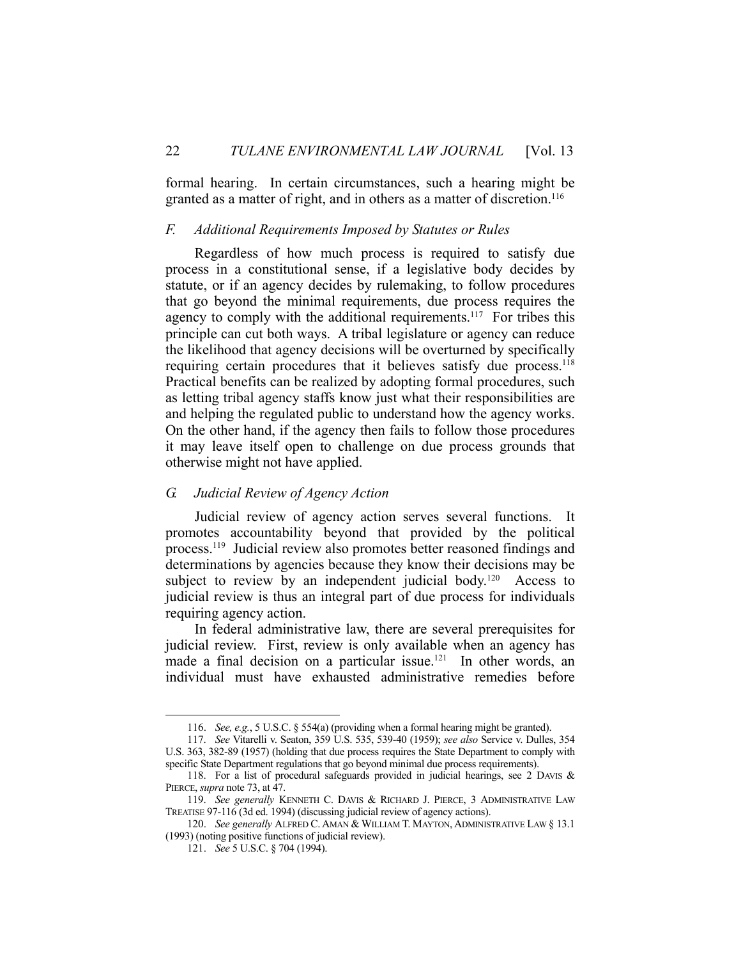formal hearing. In certain circumstances, such a hearing might be granted as a matter of right, and in others as a matter of discretion.<sup>116</sup>

# *F. Additional Requirements Imposed by Statutes or Rules*

 Regardless of how much process is required to satisfy due process in a constitutional sense, if a legislative body decides by statute, or if an agency decides by rulemaking, to follow procedures that go beyond the minimal requirements, due process requires the agency to comply with the additional requirements.<sup>117</sup> For tribes this principle can cut both ways. A tribal legislature or agency can reduce the likelihood that agency decisions will be overturned by specifically requiring certain procedures that it believes satisfy due process.<sup>118</sup> Practical benefits can be realized by adopting formal procedures, such as letting tribal agency staffs know just what their responsibilities are and helping the regulated public to understand how the agency works. On the other hand, if the agency then fails to follow those procedures it may leave itself open to challenge on due process grounds that otherwise might not have applied.

# *G. Judicial Review of Agency Action*

 Judicial review of agency action serves several functions. It promotes accountability beyond that provided by the political process.119 Judicial review also promotes better reasoned findings and determinations by agencies because they know their decisions may be subject to review by an independent judicial body.<sup>120</sup> Access to judicial review is thus an integral part of due process for individuals requiring agency action.

 In federal administrative law, there are several prerequisites for judicial review. First, review is only available when an agency has made a final decision on a particular issue.<sup>121</sup> In other words, an individual must have exhausted administrative remedies before

 <sup>116.</sup> *See, e.g.*, 5 U.S.C. § 554(a) (providing when a formal hearing might be granted).

 <sup>117.</sup> *See* Vitarelli v. Seaton, 359 U.S. 535, 539-40 (1959); *see also* Service v. Dulles, 354 U.S. 363, 382-89 (1957) (holding that due process requires the State Department to comply with specific State Department regulations that go beyond minimal due process requirements).

 <sup>118.</sup> For a list of procedural safeguards provided in judicial hearings, see 2 DAVIS & PIERCE, *supra* note 73, at 47.

 <sup>119.</sup> *See generally* KENNETH C. DAVIS & RICHARD J. PIERCE, 3 ADMINISTRATIVE LAW TREATISE 97-116 (3d ed. 1994) (discussing judicial review of agency actions).

 <sup>120.</sup> *See generally* ALFRED C. AMAN & WILLIAM T. MAYTON, ADMINISTRATIVE LAW § 13.1 (1993) (noting positive functions of judicial review).

 <sup>121.</sup> *See* 5 U.S.C. § 704 (1994).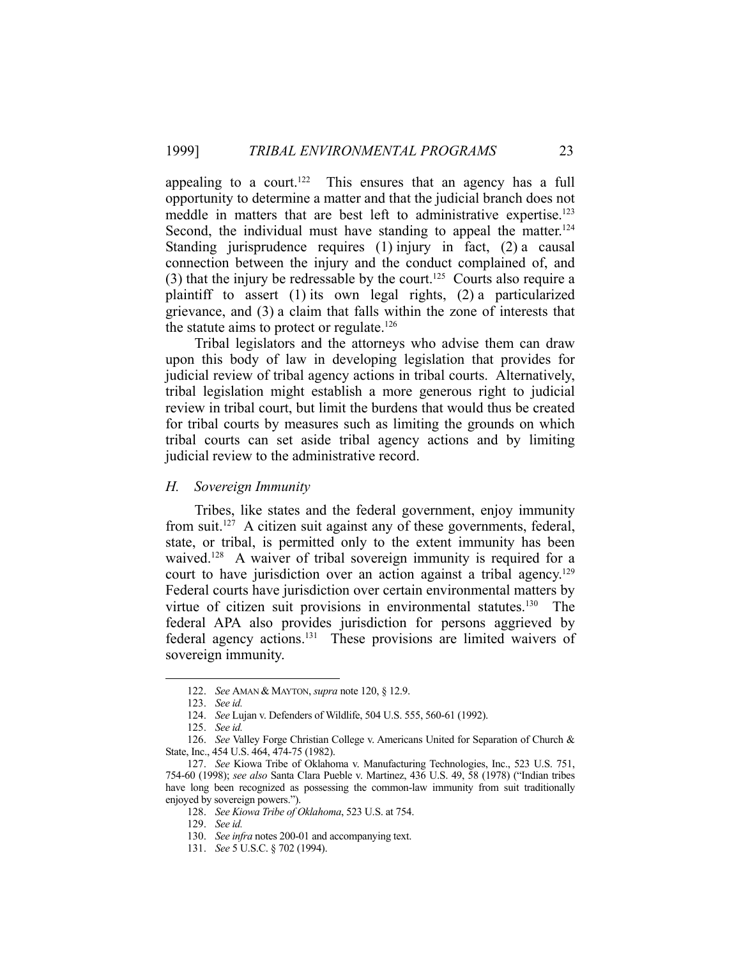appealing to a court.<sup>122</sup> This ensures that an agency has a full opportunity to determine a matter and that the judicial branch does not meddle in matters that are best left to administrative expertise.<sup>123</sup> Second, the individual must have standing to appeal the matter.<sup>124</sup> Standing jurisprudence requires (1) injury in fact, (2) a causal connection between the injury and the conduct complained of, and (3) that the injury be redressable by the court.<sup>125</sup> Courts also require a plaintiff to assert (1) its own legal rights, (2) a particularized grievance, and (3) a claim that falls within the zone of interests that the statute aims to protect or regulate. $126$ 

 Tribal legislators and the attorneys who advise them can draw upon this body of law in developing legislation that provides for judicial review of tribal agency actions in tribal courts. Alternatively, tribal legislation might establish a more generous right to judicial review in tribal court, but limit the burdens that would thus be created for tribal courts by measures such as limiting the grounds on which tribal courts can set aside tribal agency actions and by limiting judicial review to the administrative record.

# *H. Sovereign Immunity*

 Tribes, like states and the federal government, enjoy immunity from suit.127 A citizen suit against any of these governments, federal, state, or tribal, is permitted only to the extent immunity has been waived.<sup>128</sup> A waiver of tribal sovereign immunity is required for a court to have jurisdiction over an action against a tribal agency.<sup>129</sup> Federal courts have jurisdiction over certain environmental matters by virtue of citizen suit provisions in environmental statutes.<sup>130</sup> The federal APA also provides jurisdiction for persons aggrieved by federal agency actions.<sup>131</sup> These provisions are limited waivers of sovereign immunity.

 <sup>122.</sup> *See* AMAN & MAYTON, *supra* note 120, § 12.9.

 <sup>123.</sup> *See id.* 

 <sup>124.</sup> *See* Lujan v. Defenders of Wildlife, 504 U.S. 555, 560-61 (1992).

 <sup>125.</sup> *See id.*

 <sup>126.</sup> *See* Valley Forge Christian College v. Americans United for Separation of Church & State, Inc., 454 U.S. 464, 474-75 (1982).

 <sup>127.</sup> *See* Kiowa Tribe of Oklahoma v. Manufacturing Technologies, Inc., 523 U.S. 751, 754-60 (1998); *see also* Santa Clara Pueble v. Martinez, 436 U.S. 49, 58 (1978) ("Indian tribes have long been recognized as possessing the common-law immunity from suit traditionally enjoyed by sovereign powers.").

 <sup>128.</sup> *See Kiowa Tribe of Oklahoma*, 523 U.S. at 754.

 <sup>129.</sup> *See id.* 

 <sup>130.</sup> *See infra* notes 200-01 and accompanying text.

 <sup>131.</sup> *See* 5 U.S.C. § 702 (1994).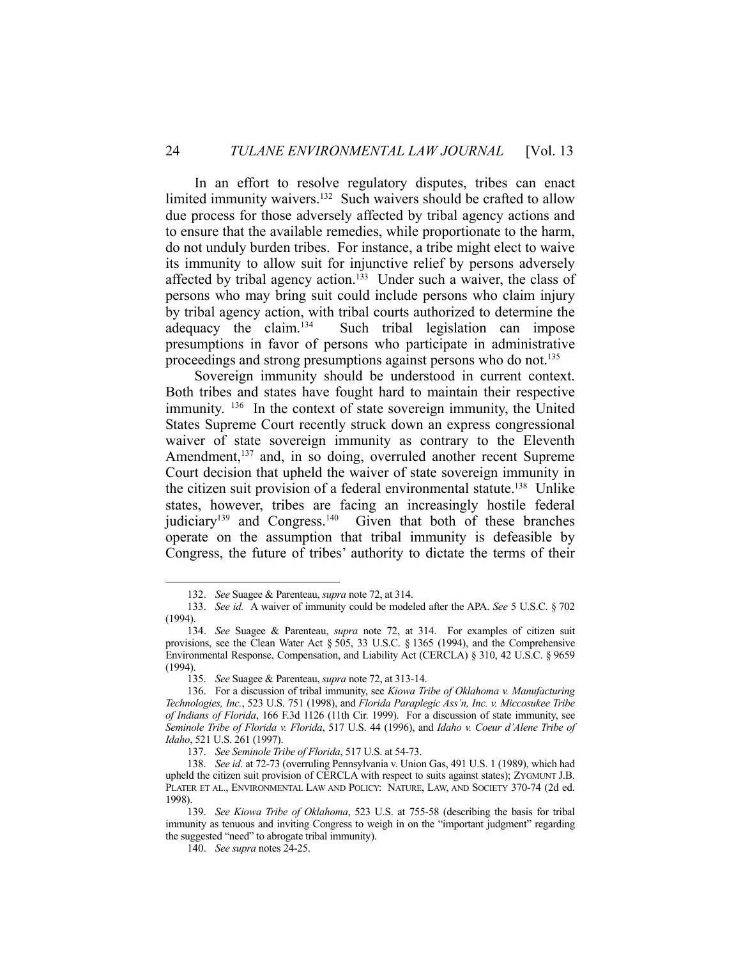In an effort to resolve regulatory disputes, tribes can enact limited immunity waivers.<sup>132</sup> Such waivers should be crafted to allow due process for those adversely affected by tribal agency actions and to ensure that the available remedies, while proportionate to the harm, do not unduly burden tribes. For instance, a tribe might elect to waive its immunity to allow suit for injunctive relief by persons adversely affected by tribal agency action.<sup>133</sup> Under such a waiver, the class of persons who may bring suit could include persons who claim injury by tribal agency action, with tribal courts authorized to determine the adequacy the claim.134 Such tribal legislation can impose presumptions in favor of persons who participate in administrative proceedings and strong presumptions against persons who do not.135

 Sovereign immunity should be understood in current context. Both tribes and states have fought hard to maintain their respective immunity. 136 In the context of state sovereign immunity, the United States Supreme Court recently struck down an express congressional waiver of state sovereign immunity as contrary to the Eleventh Amendment,<sup>137</sup> and, in so doing, overruled another recent Supreme Court decision that upheld the waiver of state sovereign immunity in the citizen suit provision of a federal environmental statute.138 Unlike states, however, tribes are facing an increasingly hostile federal judiciary<sup>139</sup> and Congress.<sup>140</sup> Given that both of these branches operate on the assumption that tribal immunity is defeasible by Congress, the future of tribes' authority to dictate the terms of their

 <sup>132.</sup> *See* Suagee & Parenteau, *supra* note 72, at 314.

 <sup>133.</sup> *See id.* A waiver of immunity could be modeled after the APA. *See* 5 U.S.C. § 702 (1994).

 <sup>134.</sup> *See* Suagee & Parenteau, *supra* note 72, at 314.For examples of citizen suit provisions, see the Clean Water Act § 505, 33 U.S.C. § 1365 (1994), and the Comprehensive Environmental Response, Compensation, and Liability Act (CERCLA) § 310, 42 U.S.C. § 9659 (1994).

 <sup>135.</sup> *See* Suagee & Parenteau, *supra* note 72, at 313-14.

 <sup>136.</sup> For a discussion of tribal immunity, see *Kiowa Tribe of Oklahoma v. Manufacturing Technologies, Inc.*, 523 U.S. 751 (1998), and *Florida Paraplegic Ass'n, Inc. v. Miccosukee Tribe of Indians of Florida*, 166 F.3d 1126 (11th Cir. 1999). For a discussion of state immunity, see *Seminole Tribe of Florida v. Florida*, 517 U.S. 44 (1996), and *Idaho v. Coeur d'Alene Tribe of Idaho*, 521 U.S. 261 (1997).

 <sup>137.</sup> *See Seminole Tribe of Florida*, 517 U.S. at 54-73.

 <sup>138.</sup> *See id*. at 72-73 (overruling Pennsylvania v. Union Gas, 491 U.S. 1 (1989), which had upheld the citizen suit provision of CERCLA with respect to suits against states); ZYGMUNT J.B. PLATER ET AL., ENVIRONMENTAL LAW AND POLICY: NATURE, LAW, AND SOCIETY 370-74 (2d ed. 1998).

 <sup>139.</sup> *See Kiowa Tribe of Oklahoma*, 523 U.S. at 755-58 (describing the basis for tribal immunity as tenuous and inviting Congress to weigh in on the "important judgment" regarding the suggested "need" to abrogate tribal immunity).

 <sup>140.</sup> *See supra* notes 24-25.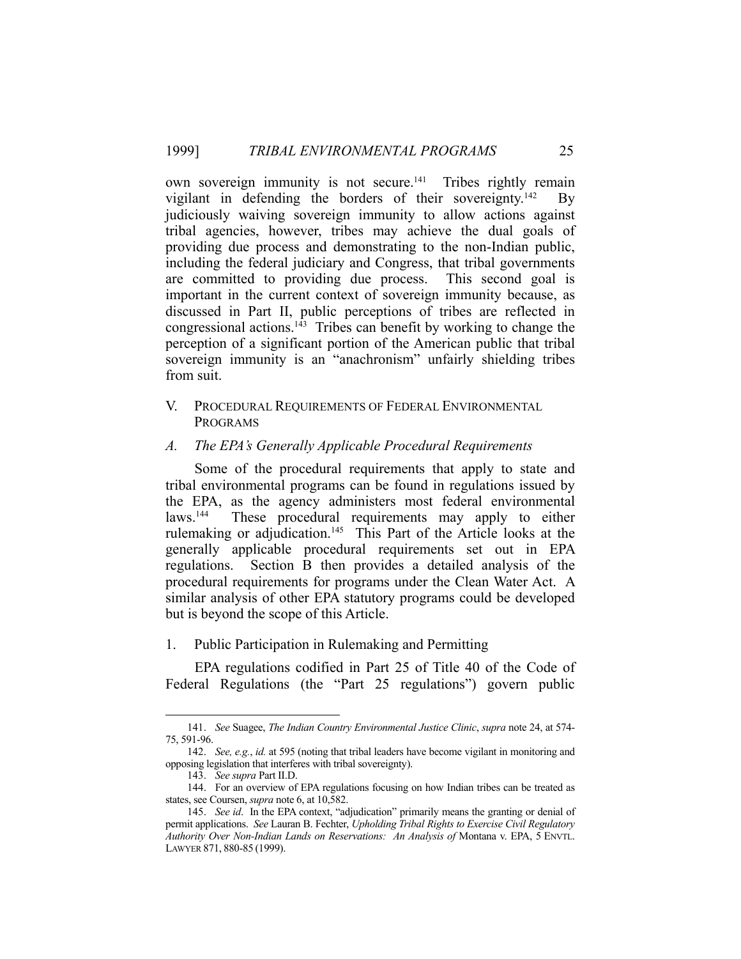own sovereign immunity is not secure.<sup>141</sup> Tribes rightly remain vigilant in defending the borders of their sovereignty.<sup>142</sup> judiciously waiving sovereign immunity to allow actions against tribal agencies, however, tribes may achieve the dual goals of providing due process and demonstrating to the non-Indian public, including the federal judiciary and Congress, that tribal governments are committed to providing due process. This second goal is important in the current context of sovereign immunity because, as discussed in Part II, public perceptions of tribes are reflected in congressional actions.<sup>143</sup> Tribes can benefit by working to change the perception of a significant portion of the American public that tribal sovereign immunity is an "anachronism" unfairly shielding tribes from suit.

# V. PROCEDURAL REQUIREMENTS OF FEDERAL ENVIRONMENTAL PROGRAMS

# *A. The EPA's Generally Applicable Procedural Requirements*

 Some of the procedural requirements that apply to state and tribal environmental programs can be found in regulations issued by the EPA, as the agency administers most federal environmental laws.144 These procedural requirements may apply to either rulemaking or adjudication.<sup>145</sup> This Part of the Article looks at the generally applicable procedural requirements set out in EPA regulations. Section B then provides a detailed analysis of the procedural requirements for programs under the Clean Water Act. A similar analysis of other EPA statutory programs could be developed but is beyond the scope of this Article.

#### 1. Public Participation in Rulemaking and Permitting

 EPA regulations codified in Part 25 of Title 40 of the Code of Federal Regulations (the "Part 25 regulations") govern public

 <sup>141.</sup> *See* Suagee, *The Indian Country Environmental Justice Clinic*, *supra* note 24, at 574- 75, 591-96.

 <sup>142.</sup> *See, e.g.*, *id.* at 595 (noting that tribal leaders have become vigilant in monitoring and opposing legislation that interferes with tribal sovereignty).

 <sup>143.</sup> *See supra* Part II.D.

 <sup>144.</sup> For an overview of EPA regulations focusing on how Indian tribes can be treated as states, see Coursen, *supra* note 6, at 10,582.

 <sup>145.</sup> *See id*. In the EPA context, "adjudication" primarily means the granting or denial of permit applications. *See* Lauran B. Fechter, *Upholding Tribal Rights to Exercise Civil Regulatory Authority Over Non-Indian Lands on Reservations: An Analysis of* Montana v. EPA, 5 ENVTL. LAWYER 871, 880-85 (1999).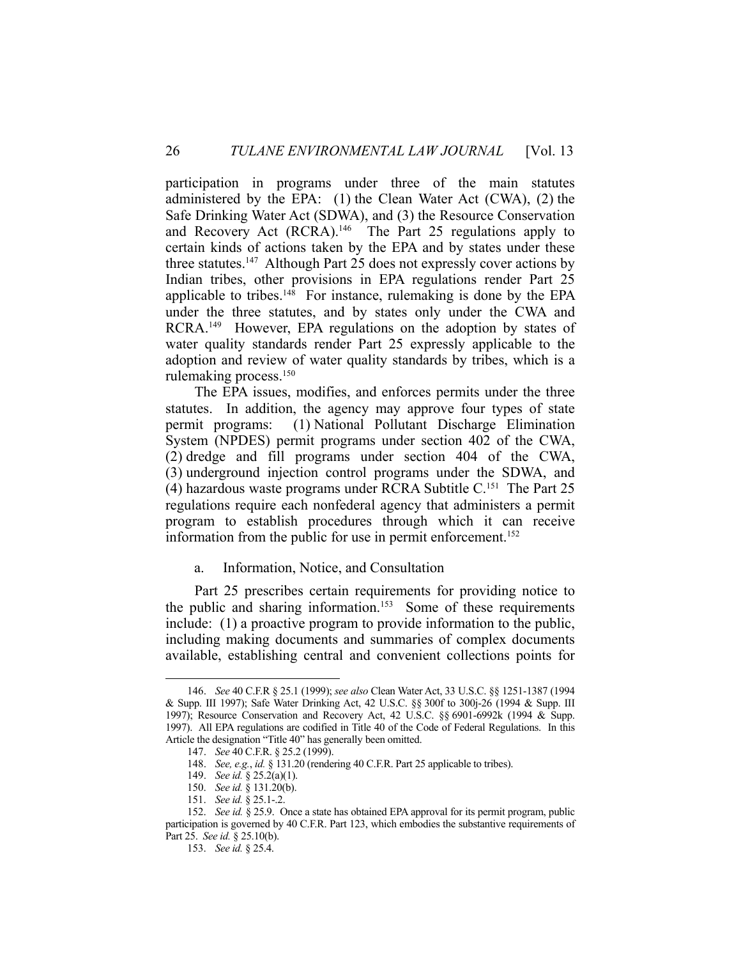participation in programs under three of the main statutes administered by the EPA: (1) the Clean Water Act (CWA), (2) the Safe Drinking Water Act (SDWA), and (3) the Resource Conservation and Recovery Act (RCRA).<sup>146</sup> The Part 25 regulations apply to certain kinds of actions taken by the EPA and by states under these three statutes.<sup>147</sup> Although Part 25 does not expressly cover actions by Indian tribes, other provisions in EPA regulations render Part 25 applicable to tribes.<sup>148</sup> For instance, rulemaking is done by the EPA under the three statutes, and by states only under the CWA and RCRA.<sup>149</sup> However, EPA regulations on the adoption by states of water quality standards render Part 25 expressly applicable to the adoption and review of water quality standards by tribes, which is a rulemaking process.150

 The EPA issues, modifies, and enforces permits under the three statutes. In addition, the agency may approve four types of state permit programs: (1) National Pollutant Discharge Elimination System (NPDES) permit programs under section 402 of the CWA, (2) dredge and fill programs under section 404 of the CWA, (3) underground injection control programs under the SDWA, and (4) hazardous waste programs under RCRA Subtitle C.151 The Part 25 regulations require each nonfederal agency that administers a permit program to establish procedures through which it can receive information from the public for use in permit enforcement.<sup>152</sup>

a. Information, Notice, and Consultation

 Part 25 prescribes certain requirements for providing notice to the public and sharing information.<sup>153</sup> Some of these requirements include: (1) a proactive program to provide information to the public, including making documents and summaries of complex documents available, establishing central and convenient collections points for

 <sup>146.</sup> *See* 40 C.F.R § 25.1 (1999); *see also* Clean Water Act, 33 U.S.C. §§ 1251-1387 (1994 & Supp. III 1997); Safe Water Drinking Act, 42 U.S.C. §§ 300f to 300j-26 (1994 & Supp. III 1997); Resource Conservation and Recovery Act, 42 U.S.C. §§ 6901-6992k (1994 & Supp. 1997). All EPA regulations are codified in Title 40 of the Code of Federal Regulations. In this Article the designation "Title 40" has generally been omitted.

 <sup>147.</sup> *See* 40 C.F.R. § 25.2 (1999).

 <sup>148.</sup> *See, e.g.*, *id.* § 131.20 (rendering 40 C.F.R. Part 25 applicable to tribes).

 <sup>149.</sup> *See id.* § 25.2(a)(1).

 <sup>150.</sup> *See id.* § 131.20(b).

 <sup>151.</sup> *See id.* § 25.1-.2.

 <sup>152.</sup> *See id.* § 25.9. Once a state has obtained EPA approval for its permit program, public participation is governed by 40 C.F.R. Part 123, which embodies the substantive requirements of Part 25. *See id.* § 25.10(b).

 <sup>153.</sup> *See id.* § 25.4.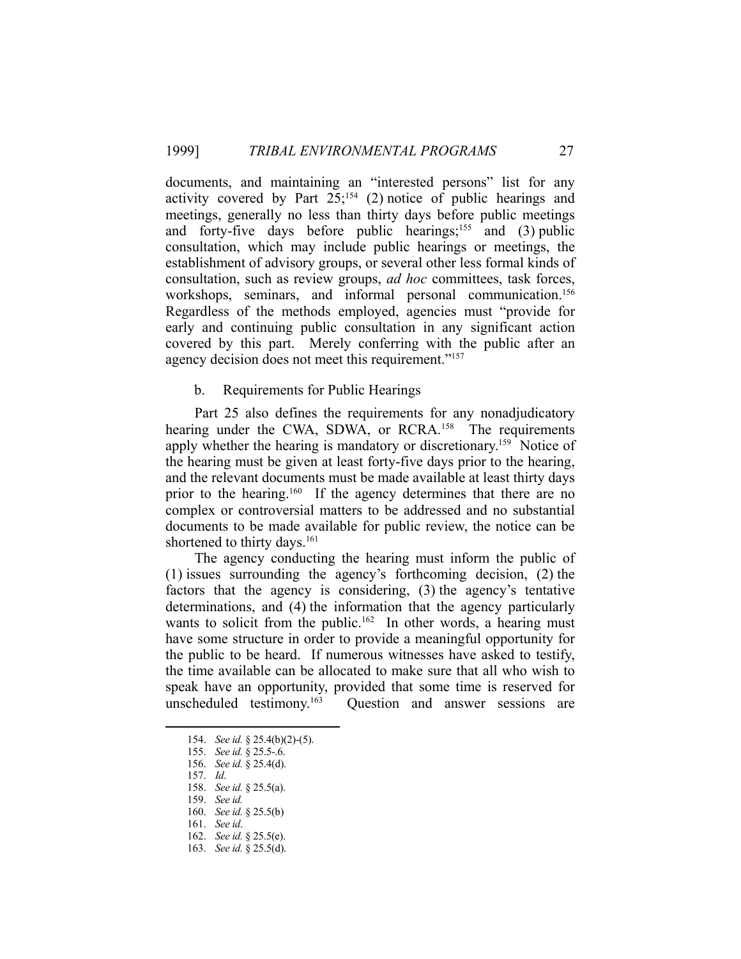documents, and maintaining an "interested persons" list for any activity covered by Part  $25$ ;<sup>154</sup> (2) notice of public hearings and meetings, generally no less than thirty days before public meetings and forty-five days before public hearings;<sup>155</sup> and (3) public consultation, which may include public hearings or meetings, the establishment of advisory groups, or several other less formal kinds of consultation, such as review groups, *ad hoc* committees, task forces, workshops, seminars, and informal personal communication.<sup>156</sup> Regardless of the methods employed, agencies must "provide for early and continuing public consultation in any significant action covered by this part. Merely conferring with the public after an agency decision does not meet this requirement."<sup>157</sup>

#### b. Requirements for Public Hearings

 Part 25 also defines the requirements for any nonadjudicatory hearing under the CWA, SDWA, or RCRA.<sup>158</sup> The requirements apply whether the hearing is mandatory or discretionary.<sup>159</sup> Notice of the hearing must be given at least forty-five days prior to the hearing, and the relevant documents must be made available at least thirty days prior to the hearing.<sup>160</sup> If the agency determines that there are no complex or controversial matters to be addressed and no substantial documents to be made available for public review, the notice can be shortened to thirty days.<sup>161</sup>

 The agency conducting the hearing must inform the public of (1) issues surrounding the agency's forthcoming decision, (2) the factors that the agency is considering, (3) the agency's tentative determinations, and (4) the information that the agency particularly wants to solicit from the public.<sup>162</sup> In other words, a hearing must have some structure in order to provide a meaningful opportunity for the public to be heard. If numerous witnesses have asked to testify, the time available can be allocated to make sure that all who wish to speak have an opportunity, provided that some time is reserved for unscheduled testimony.<sup>163</sup> Question and answer sessions are

 <sup>154.</sup> *See id.* § 25.4(b)(2)-(5).

 <sup>155.</sup> *See id.* § 25.5-.6.

 <sup>156.</sup> *See id.* § 25.4(d).

 <sup>157.</sup> *Id*.

 <sup>158.</sup> *See id.* § 25.5(a).

 <sup>159.</sup> *See id.*

 <sup>160.</sup> *See id.* § 25.5(b)

 <sup>161.</sup> *See id*.

 <sup>162.</sup> *See id.* § 25.5(e).

 <sup>163.</sup> *See id.* § 25.5(d).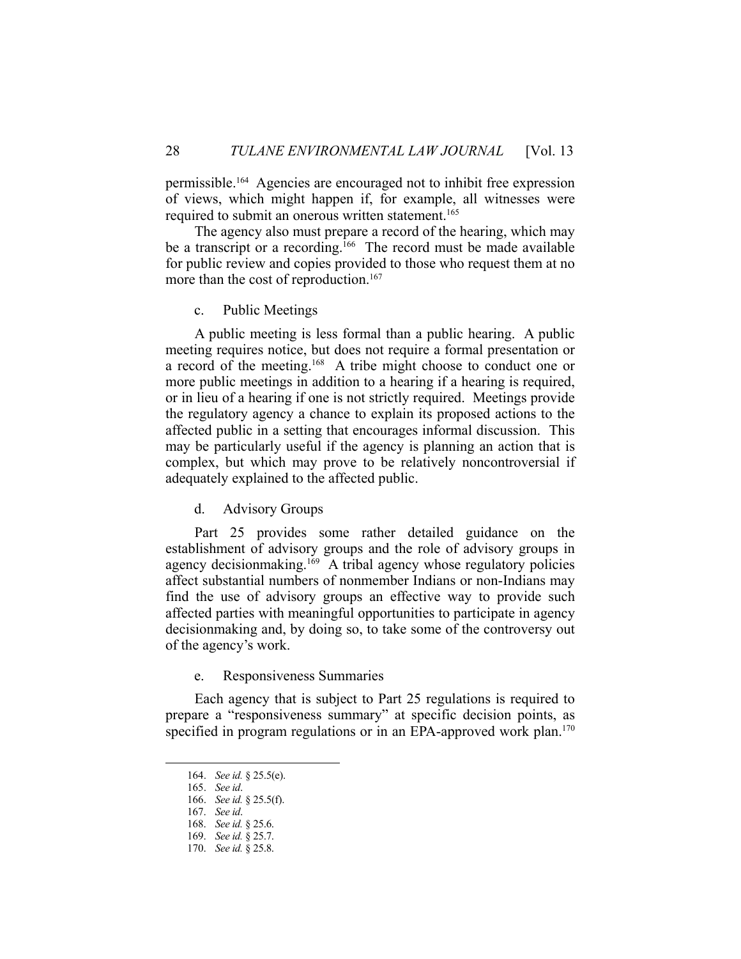permissible.164 Agencies are encouraged not to inhibit free expression of views, which might happen if, for example, all witnesses were required to submit an onerous written statement.<sup>165</sup>

 The agency also must prepare a record of the hearing, which may be a transcript or a recording.<sup>166</sup> The record must be made available for public review and copies provided to those who request them at no more than the cost of reproduction.<sup>167</sup>

#### c. Public Meetings

 A public meeting is less formal than a public hearing. A public meeting requires notice, but does not require a formal presentation or a record of the meeting.<sup>168</sup> A tribe might choose to conduct one or more public meetings in addition to a hearing if a hearing is required, or in lieu of a hearing if one is not strictly required. Meetings provide the regulatory agency a chance to explain its proposed actions to the affected public in a setting that encourages informal discussion. This may be particularly useful if the agency is planning an action that is complex, but which may prove to be relatively noncontroversial if adequately explained to the affected public.

d. Advisory Groups

 Part 25 provides some rather detailed guidance on the establishment of advisory groups and the role of advisory groups in agency decisionmaking.<sup>169</sup> A tribal agency whose regulatory policies affect substantial numbers of nonmember Indians or non-Indians may find the use of advisory groups an effective way to provide such affected parties with meaningful opportunities to participate in agency decisionmaking and, by doing so, to take some of the controversy out of the agency's work.

e. Responsiveness Summaries

 Each agency that is subject to Part 25 regulations is required to prepare a "responsiveness summary" at specific decision points, as specified in program regulations or in an EPA-approved work plan.<sup>170</sup>

 <sup>164.</sup> *See id.* § 25.5(e).

 <sup>165.</sup> *See id*.

 <sup>166.</sup> *See id.* § 25.5(f).

 <sup>167.</sup> *See id*.

 <sup>168.</sup> *See id.* § 25.6.

 <sup>169.</sup> *See id.* § 25.7.

 <sup>170.</sup> *See id.* § 25.8.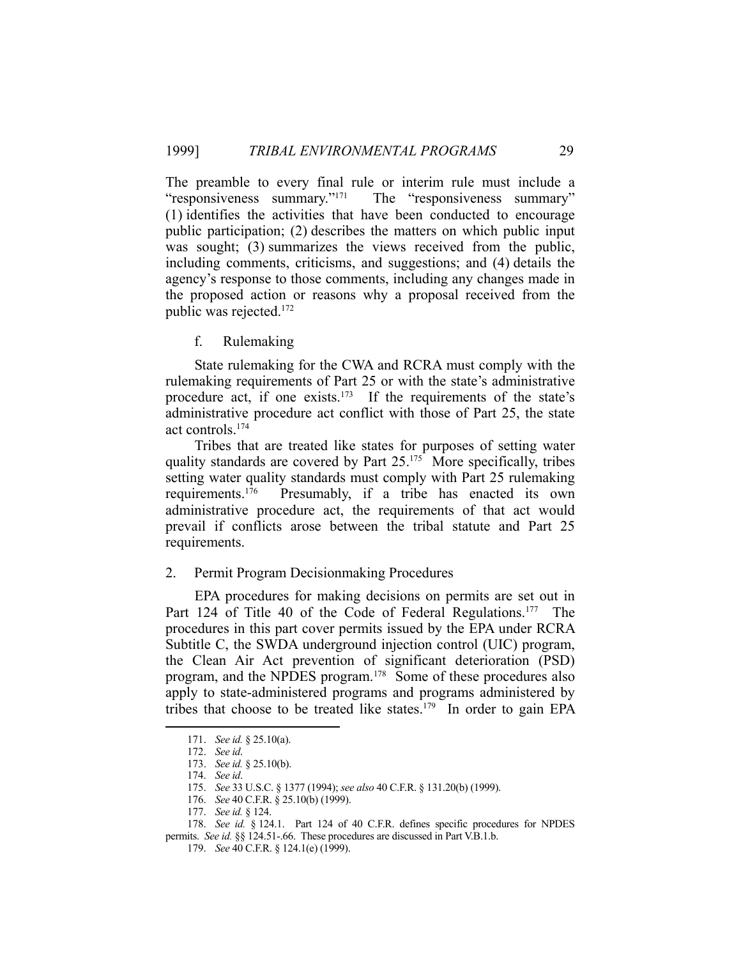The preamble to every final rule or interim rule must include a "responsiveness summary."171 The "responsiveness summary" (1) identifies the activities that have been conducted to encourage public participation; (2) describes the matters on which public input was sought; (3) summarizes the views received from the public, including comments, criticisms, and suggestions; and (4) details the agency's response to those comments, including any changes made in the proposed action or reasons why a proposal received from the public was rejected.172

f. Rulemaking

 State rulemaking for the CWA and RCRA must comply with the rulemaking requirements of Part 25 or with the state's administrative procedure act, if one exists.<sup>173</sup> If the requirements of the state's administrative procedure act conflict with those of Part 25, the state act controls.174

 Tribes that are treated like states for purposes of setting water quality standards are covered by Part  $25^{175}$  More specifically, tribes setting water quality standards must comply with Part 25 rulemaking requirements.176 Presumably, if a tribe has enacted its own administrative procedure act, the requirements of that act would prevail if conflicts arose between the tribal statute and Part 25 requirements.

# 2. Permit Program Decisionmaking Procedures

 EPA procedures for making decisions on permits are set out in Part 124 of Title 40 of the Code of Federal Regulations.<sup>177</sup> The procedures in this part cover permits issued by the EPA under RCRA Subtitle C, the SWDA underground injection control (UIC) program, the Clean Air Act prevention of significant deterioration (PSD) program, and the NPDES program.178 Some of these procedures also apply to state-administered programs and programs administered by tribes that choose to be treated like states.<sup>179</sup> In order to gain EPA

 <sup>171.</sup> *See id.* § 25.10(a).

 <sup>172.</sup> *See id*.

 <sup>173.</sup> *See id.* § 25.10(b).

 <sup>174.</sup> *See id*.

 <sup>175.</sup> *See* 33 U.S.C. § 1377 (1994); *see also* 40 C.F.R. § 131.20(b) (1999).

 <sup>176.</sup> *See* 40 C.F.R. § 25.10(b) (1999).

 <sup>177.</sup> *See id.* § 124.

 <sup>178.</sup> *See id.* § 124.1. Part 124 of 40 C.F.R. defines specific procedures for NPDES permits. *See id.* §§ 124.51-.66. These procedures are discussed in Part V.B.1.b.

 <sup>179.</sup> *See* 40 C.F.R. § 124.1(e) (1999).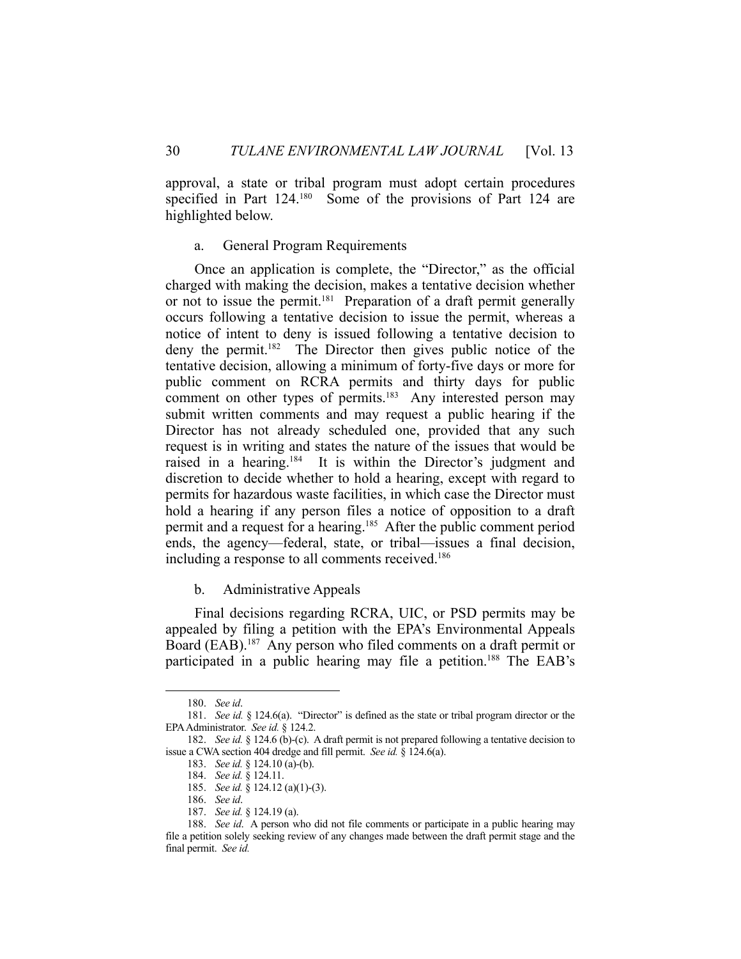approval, a state or tribal program must adopt certain procedures specified in Part 124.<sup>180</sup> Some of the provisions of Part 124 are highlighted below.

# a. General Program Requirements

 Once an application is complete, the "Director," as the official charged with making the decision, makes a tentative decision whether or not to issue the permit.<sup>181</sup> Preparation of a draft permit generally occurs following a tentative decision to issue the permit, whereas a notice of intent to deny is issued following a tentative decision to deny the permit.182 The Director then gives public notice of the tentative decision, allowing a minimum of forty-five days or more for public comment on RCRA permits and thirty days for public comment on other types of permits.<sup>183</sup> Any interested person may submit written comments and may request a public hearing if the Director has not already scheduled one, provided that any such request is in writing and states the nature of the issues that would be raised in a hearing.<sup>184</sup> It is within the Director's judgment and discretion to decide whether to hold a hearing, except with regard to permits for hazardous waste facilities, in which case the Director must hold a hearing if any person files a notice of opposition to a draft permit and a request for a hearing.185 After the public comment period ends, the agency—federal, state, or tribal—issues a final decision, including a response to all comments received.<sup>186</sup>

b. Administrative Appeals

 Final decisions regarding RCRA, UIC, or PSD permits may be appealed by filing a petition with the EPA's Environmental Appeals Board (EAB).<sup>187</sup> Any person who filed comments on a draft permit or participated in a public hearing may file a petition.<sup>188</sup> The EAB's

 <sup>180.</sup> *See id*.

 <sup>181.</sup> *See id.* § 124.6(a). "Director" is defined as the state or tribal program director or the EPA Administrator. *See id.* § 124.2.

 <sup>182.</sup> *See id.* § 124.6 (b)-(c). A draft permit is not prepared following a tentative decision to issue a CWA section 404 dredge and fill permit. *See id.* § 124.6(a).

 <sup>183.</sup> *See id.* § 124.10 (a)-(b).

 <sup>184.</sup> *See id.* § 124.11.

 <sup>185.</sup> *See id.* § 124.12 (a)(1)-(3).

 <sup>186.</sup> *See id*.

 <sup>187.</sup> *See id.* § 124.19 (a).

 <sup>188.</sup> *See id*. A person who did not file comments or participate in a public hearing may file a petition solely seeking review of any changes made between the draft permit stage and the final permit. *See id.*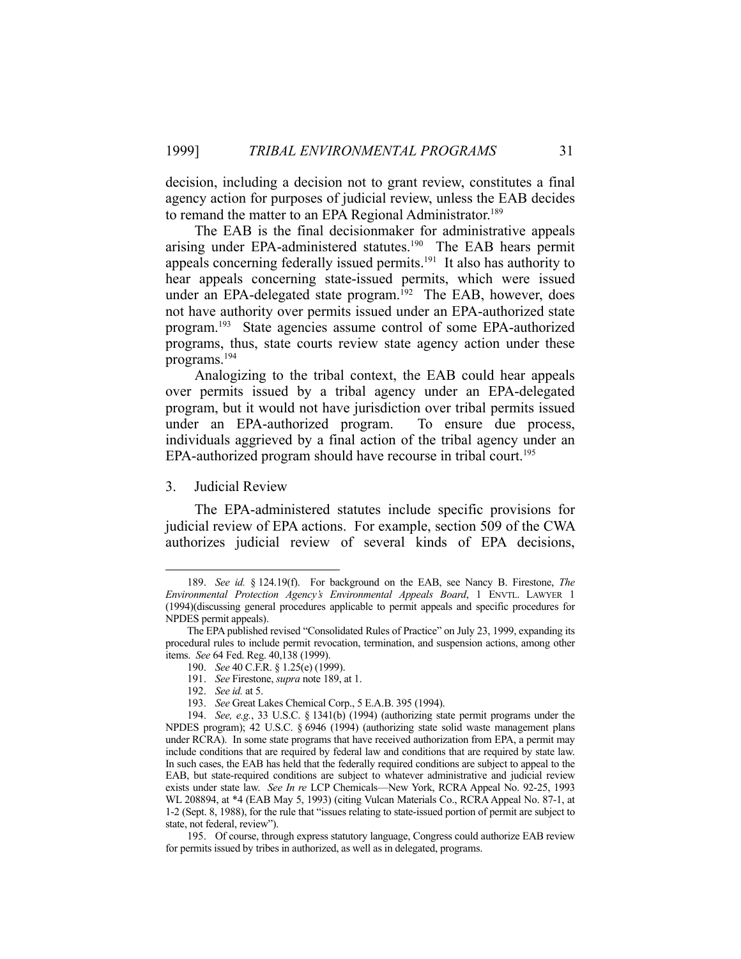decision, including a decision not to grant review, constitutes a final agency action for purposes of judicial review, unless the EAB decides to remand the matter to an EPA Regional Administrator.<sup>189</sup>

 The EAB is the final decisionmaker for administrative appeals arising under EPA-administered statutes.190 The EAB hears permit appeals concerning federally issued permits.<sup>191</sup> It also has authority to hear appeals concerning state-issued permits, which were issued under an EPA-delegated state program.<sup>192</sup> The EAB, however, does not have authority over permits issued under an EPA-authorized state program.193 State agencies assume control of some EPA-authorized programs, thus, state courts review state agency action under these programs.194

 Analogizing to the tribal context, the EAB could hear appeals over permits issued by a tribal agency under an EPA-delegated program, but it would not have jurisdiction over tribal permits issued under an EPA-authorized program. To ensure due process, individuals aggrieved by a final action of the tribal agency under an EPA-authorized program should have recourse in tribal court.<sup>195</sup>

# 3. Judicial Review

1

 The EPA-administered statutes include specific provisions for judicial review of EPA actions. For example, section 509 of the CWA authorizes judicial review of several kinds of EPA decisions,

 <sup>189.</sup> *See id.* § 124.19(f). For background on the EAB, see Nancy B. Firestone, *The Environmental Protection Agency's Environmental Appeals Board*, 1 ENVTL. LAWYER 1 (1994)(discussing general procedures applicable to permit appeals and specific procedures for NPDES permit appeals).

The EPA published revised "Consolidated Rules of Practice" on July 23, 1999, expanding its procedural rules to include permit revocation, termination, and suspension actions, among other items. *See* 64 Fed. Reg. 40,138 (1999).

 <sup>190.</sup> *See* 40 C.F.R. § 1.25(e) (1999).

 <sup>191.</sup> *See* Firestone, *supra* note 189, at 1.

 <sup>192.</sup> *See id.* at 5.

 <sup>193.</sup> *See* Great Lakes Chemical Corp., 5 E.A.B. 395 (1994).

 <sup>194.</sup> *See, e.g.*, 33 U.S.C. § 1341(b) (1994) (authorizing state permit programs under the NPDES program); 42 U.S.C. § 6946 (1994) (authorizing state solid waste management plans under RCRA). In some state programs that have received authorization from EPA, a permit may include conditions that are required by federal law and conditions that are required by state law. In such cases, the EAB has held that the federally required conditions are subject to appeal to the EAB, but state-required conditions are subject to whatever administrative and judicial review exists under state law. *See In re* LCP Chemicals—New York, RCRA Appeal No. 92-25, 1993 WL 208894, at \*4 (EAB May 5, 1993) (citing Vulcan Materials Co., RCRA Appeal No. 87-1, at 1-2 (Sept. 8, 1988), for the rule that "issues relating to state-issued portion of permit are subject to state, not federal, review").

 <sup>195.</sup> Of course, through express statutory language, Congress could authorize EAB review for permits issued by tribes in authorized, as well as in delegated, programs.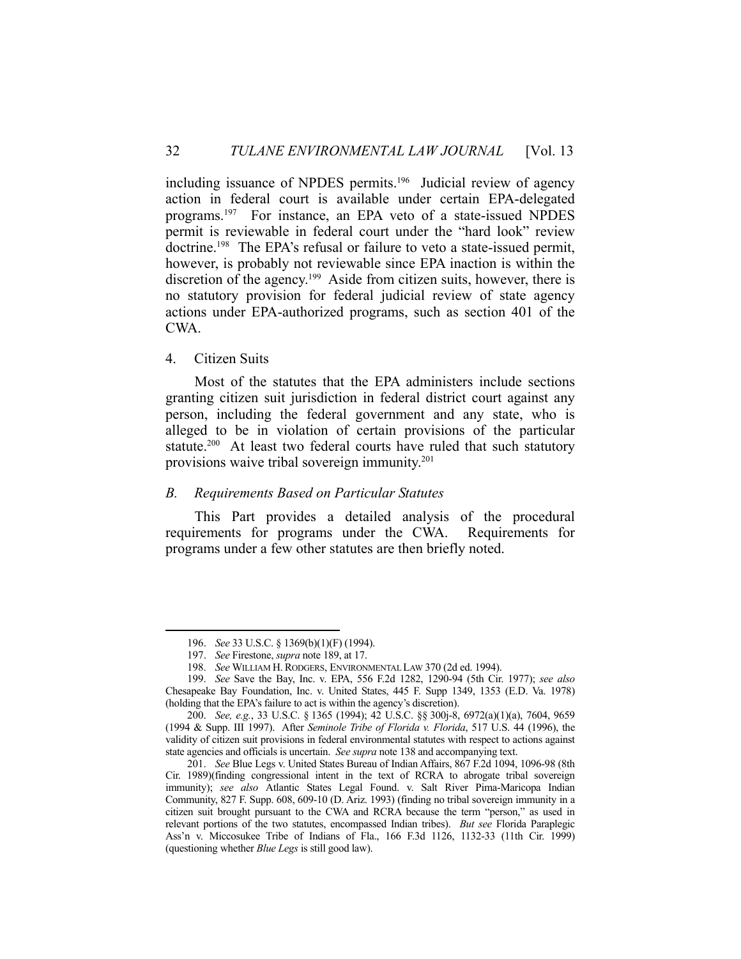including issuance of NPDES permits.196 Judicial review of agency action in federal court is available under certain EPA-delegated programs.197 For instance, an EPA veto of a state-issued NPDES permit is reviewable in federal court under the "hard look" review doctrine.198 The EPA's refusal or failure to veto a state-issued permit, however, is probably not reviewable since EPA inaction is within the discretion of the agency.<sup>199</sup> Aside from citizen suits, however, there is no statutory provision for federal judicial review of state agency actions under EPA-authorized programs, such as section 401 of the CWA.

# 4. Citizen Suits

<u>.</u>

 Most of the statutes that the EPA administers include sections granting citizen suit jurisdiction in federal district court against any person, including the federal government and any state, who is alleged to be in violation of certain provisions of the particular statute.<sup>200</sup> At least two federal courts have ruled that such statutory provisions waive tribal sovereign immunity.201

# *B. Requirements Based on Particular Statutes*

 This Part provides a detailed analysis of the procedural requirements for programs under the CWA. Requirements for programs under a few other statutes are then briefly noted.

 <sup>196.</sup> *See* 33 U.S.C. § 1369(b)(1)(F) (1994).

 <sup>197.</sup> *See* Firestone, *supra* note 189, at 17.

 <sup>198.</sup> *See* WILLIAM H.RODGERS, ENVIRONMENTAL LAW 370 (2d ed. 1994).

 <sup>199.</sup> *See* Save the Bay, Inc. v. EPA, 556 F.2d 1282, 1290-94 (5th Cir. 1977); *see also*  Chesapeake Bay Foundation, Inc. v. United States, 445 F. Supp 1349, 1353 (E.D. Va. 1978) (holding that the EPA's failure to act is within the agency's discretion).

 <sup>200.</sup> *See, e.g.*, 33 U.S.C. § 1365 (1994); 42 U.S.C. §§ 300j-8, 6972(a)(1)(a), 7604, 9659 (1994 & Supp. III 1997). After *Seminole Tribe of Florida v. Florida*, 517 U.S. 44 (1996), the validity of citizen suit provisions in federal environmental statutes with respect to actions against state agencies and officials is uncertain. *See supra* note 138 and accompanying text.

 <sup>201.</sup> *See* Blue Legs v. United States Bureau of Indian Affairs, 867 F.2d 1094, 1096-98 (8th Cir. 1989)(finding congressional intent in the text of RCRA to abrogate tribal sovereign immunity); *see also* Atlantic States Legal Found. v. Salt River Pima-Maricopa Indian Community, 827 F. Supp. 608, 609-10 (D. Ariz. 1993) (finding no tribal sovereign immunity in a citizen suit brought pursuant to the CWA and RCRA because the term "person," as used in relevant portions of the two statutes, encompassed Indian tribes). *But see* Florida Paraplegic Ass'n v. Miccosukee Tribe of Indians of Fla., 166 F.3d 1126, 1132-33 (11th Cir. 1999) (questioning whether *Blue Legs* is still good law).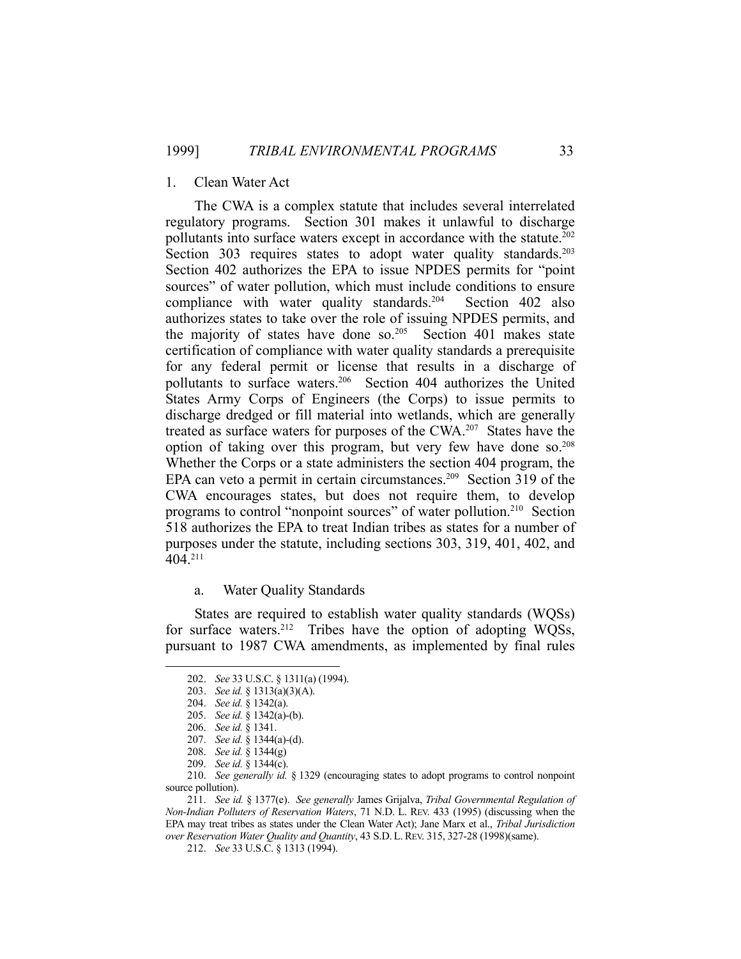#### 1. Clean Water Act

 The CWA is a complex statute that includes several interrelated regulatory programs. Section 301 makes it unlawful to discharge pollutants into surface waters except in accordance with the statute.<sup>202</sup> Section 303 requires states to adopt water quality standards.<sup>203</sup> Section 402 authorizes the EPA to issue NPDES permits for "point sources" of water pollution, which must include conditions to ensure compliance with water quality standards.<sup>204</sup> Section 402 also authorizes states to take over the role of issuing NPDES permits, and the majority of states have done so.<sup>205</sup> Section 401 makes state certification of compliance with water quality standards a prerequisite for any federal permit or license that results in a discharge of pollutants to surface waters.206 Section 404 authorizes the United States Army Corps of Engineers (the Corps) to issue permits to discharge dredged or fill material into wetlands, which are generally treated as surface waters for purposes of the CWA.207 States have the option of taking over this program, but very few have done so.208 Whether the Corps or a state administers the section 404 program, the EPA can veto a permit in certain circumstances.<sup>209</sup> Section 319 of the CWA encourages states, but does not require them, to develop programs to control "nonpoint sources" of water pollution.<sup>210</sup> Section 518 authorizes the EPA to treat Indian tribes as states for a number of purposes under the statute, including sections 303, 319, 401, 402, and 404.211

#### a. Water Quality Standards

 States are required to establish water quality standards (WQSs) for surface waters.<sup>212</sup> Tribes have the option of adopting WQSs, pursuant to 1987 CWA amendments, as implemented by final rules

 <sup>202.</sup> *See* 33 U.S.C. § 1311(a) (1994).

 <sup>203.</sup> *See id.* § 1313(a)(3)(A).

 <sup>204.</sup> *See id.* § 1342(a).

 <sup>205.</sup> *See id.* § 1342(a)-(b).

 <sup>206.</sup> *See id.* § 1341.

 <sup>207.</sup> *See id.* § 1344(a)-(d).

 <sup>208.</sup> *See id.* § 1344(g)

 <sup>209.</sup> *See id.* § 1344(c).

 <sup>210.</sup> *See generally id.* § 1329 (encouraging states to adopt programs to control nonpoint source pollution).

 <sup>211.</sup> *See id.* § 1377(e). *See generally* James Grijalva, *Tribal Governmental Regulation of Non-Indian Polluters of Reservation Waters*, 71 N.D. L. REV. 433 (1995) (discussing when the EPA may treat tribes as states under the Clean Water Act); Jane Marx et al., *Tribal Jurisdiction over Reservation Water Quality and Quantity*, 43 S.D. L.REV. 315, 327-28 (1998)(same).

 <sup>212.</sup> *See* 33 U.S.C. § 1313 (1994).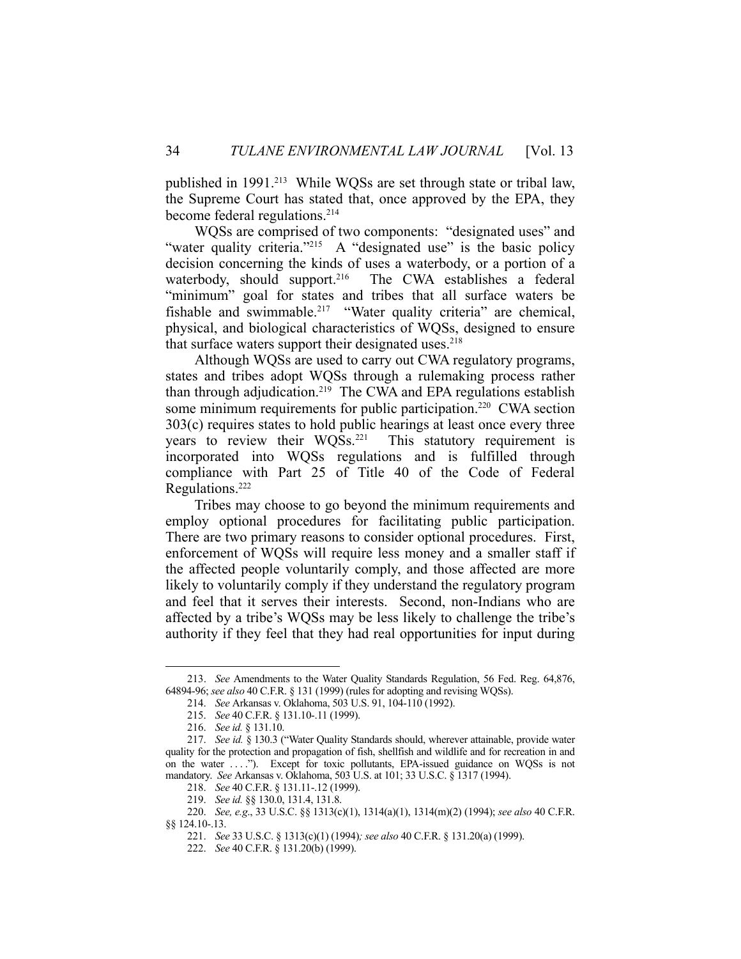published in 1991.<sup>213</sup> While WQSs are set through state or tribal law, the Supreme Court has stated that, once approved by the EPA, they become federal regulations.214

 WQSs are comprised of two components: "designated uses" and "water quality criteria."<sup>215</sup> A "designated use" is the basic policy decision concerning the kinds of uses a waterbody, or a portion of a waterbody, should support.<sup>216</sup> The CWA establishes a federal "minimum" goal for states and tribes that all surface waters be fishable and swimmable.<sup>217</sup> "Water quality criteria" are chemical, physical, and biological characteristics of WQSs, designed to ensure that surface waters support their designated uses. $218$ 

 Although WQSs are used to carry out CWA regulatory programs, states and tribes adopt WQSs through a rulemaking process rather than through adjudication.<sup>219</sup> The CWA and EPA regulations establish some minimum requirements for public participation.<sup>220</sup> CWA section 303(c) requires states to hold public hearings at least once every three years to review their  $WQSS<sub>1</sub><sup>221</sup>$  This statutory requirement is incorporated into WQSs regulations and is fulfilled through compliance with Part 25 of Title 40 of the Code of Federal Regulations.222

 Tribes may choose to go beyond the minimum requirements and employ optional procedures for facilitating public participation. There are two primary reasons to consider optional procedures. First, enforcement of WQSs will require less money and a smaller staff if the affected people voluntarily comply, and those affected are more likely to voluntarily comply if they understand the regulatory program and feel that it serves their interests. Second, non-Indians who are affected by a tribe's WQSs may be less likely to challenge the tribe's authority if they feel that they had real opportunities for input during

 <sup>213.</sup> *See* Amendments to the Water Quality Standards Regulation, 56 Fed. Reg. 64,876, 64894-96; *see also* 40 C.F.R. § 131 (1999) (rules for adopting and revising WQSs).

 <sup>214.</sup> *See* Arkansas v. Oklahoma, 503 U.S. 91, 104-110 (1992).

 <sup>215.</sup> *See* 40 C.F.R. § 131.10-.11 (1999).

 <sup>216.</sup> *See id.* § 131.10.

 <sup>217.</sup> *See id.* § 130.3 ("Water Quality Standards should, wherever attainable, provide water quality for the protection and propagation of fish, shellfish and wildlife and for recreation in and on the water . . . ."). Except for toxic pollutants, EPA-issued guidance on WQSs is not mandatory. *See* Arkansas v. Oklahoma, 503 U.S. at 101; 33 U.S.C. § 1317 (1994).

 <sup>218.</sup> *See* 40 C.F.R. § 131.11-.12 (1999).

 <sup>219.</sup> *See id.* §§ 130.0, 131.4, 131.8.

 <sup>220.</sup> *See, e.g*., 33 U.S.C. §§ 1313(c)(1), 1314(a)(1), 1314(m)(2) (1994); *see also* 40 C.F.R. §§ 124.10-.13.

 <sup>221.</sup> *See* 33 U.S.C. § 1313(c)(1) (1994)*; see also* 40 C.F.R. § 131.20(a) (1999).

 <sup>222.</sup> *See* 40 C.F.R. § 131.20(b) (1999).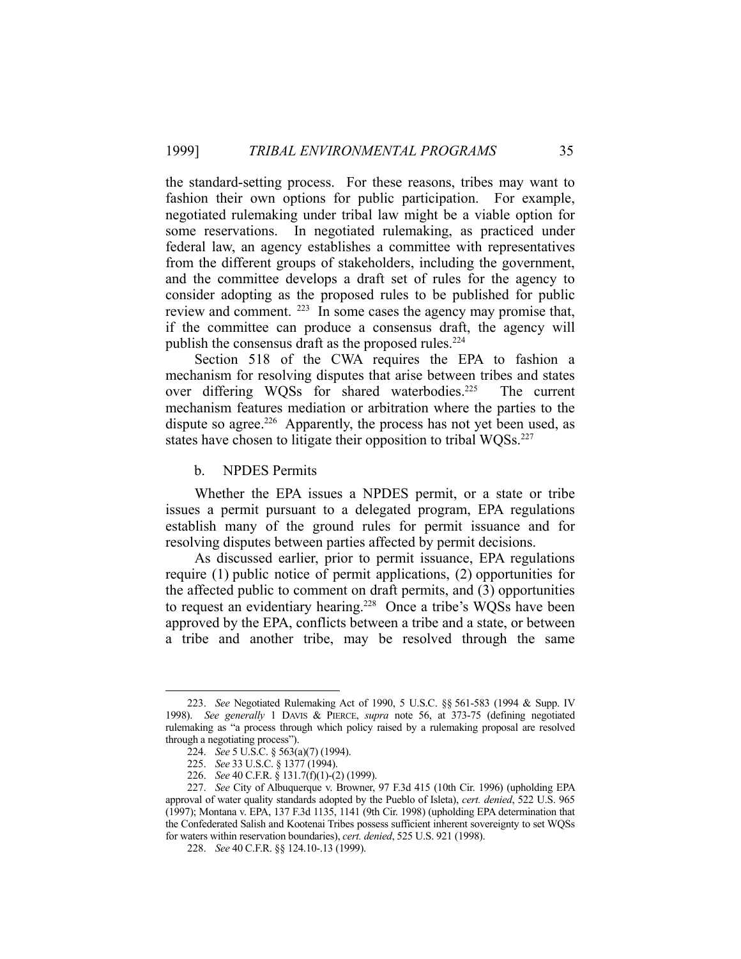the standard-setting process. For these reasons, tribes may want to fashion their own options for public participation. For example, negotiated rulemaking under tribal law might be a viable option for some reservations. In negotiated rulemaking, as practiced under federal law, an agency establishes a committee with representatives from the different groups of stakeholders, including the government, and the committee develops a draft set of rules for the agency to consider adopting as the proposed rules to be published for public review and comment. 223 In some cases the agency may promise that, if the committee can produce a consensus draft, the agency will publish the consensus draft as the proposed rules.<sup>224</sup>

 Section 518 of the CWA requires the EPA to fashion a mechanism for resolving disputes that arise between tribes and states over differing WQSs for shared waterbodies.<sup>225</sup> The current mechanism features mediation or arbitration where the parties to the dispute so agree.<sup>226</sup> Apparently, the process has not yet been used, as states have chosen to litigate their opposition to tribal WQSs.<sup>227</sup>

b. NPDES Permits

 Whether the EPA issues a NPDES permit, or a state or tribe issues a permit pursuant to a delegated program, EPA regulations establish many of the ground rules for permit issuance and for resolving disputes between parties affected by permit decisions.

 As discussed earlier, prior to permit issuance, EPA regulations require (1) public notice of permit applications, (2) opportunities for the affected public to comment on draft permits, and (3) opportunities to request an evidentiary hearing.<sup>228</sup> Once a tribe's WQSs have been approved by the EPA, conflicts between a tribe and a state, or between a tribe and another tribe, may be resolved through the same

 <sup>223.</sup> *See* Negotiated Rulemaking Act of 1990, 5 U.S.C. §§ 561-583 (1994 & Supp. IV 1998). *See generally* 1 DAVIS & PIERCE, *supra* note 56, at 373-75 (defining negotiated rulemaking as "a process through which policy raised by a rulemaking proposal are resolved through a negotiating process").

 <sup>224.</sup> *See* 5 U.S.C. § 563(a)(7) (1994).

 <sup>225.</sup> *See* 33 U.S.C. § 1377 (1994).

 <sup>226.</sup> *See* 40 C.F.R. § 131.7(f)(1)-(2) (1999).

 <sup>227.</sup> *See* City of Albuquerque v. Browner, 97 F.3d 415 (10th Cir. 1996) (upholding EPA approval of water quality standards adopted by the Pueblo of Isleta), *cert. denied*, 522 U.S. 965 (1997); Montana v. EPA, 137 F.3d 1135, 1141 (9th Cir. 1998) (upholding EPA determination that the Confederated Salish and Kootenai Tribes possess sufficient inherent sovereignty to set WQSs for waters within reservation boundaries), *cert. denied*, 525 U.S. 921 (1998).

 <sup>228.</sup> *See* 40 C.F.R. §§ 124.10-.13 (1999).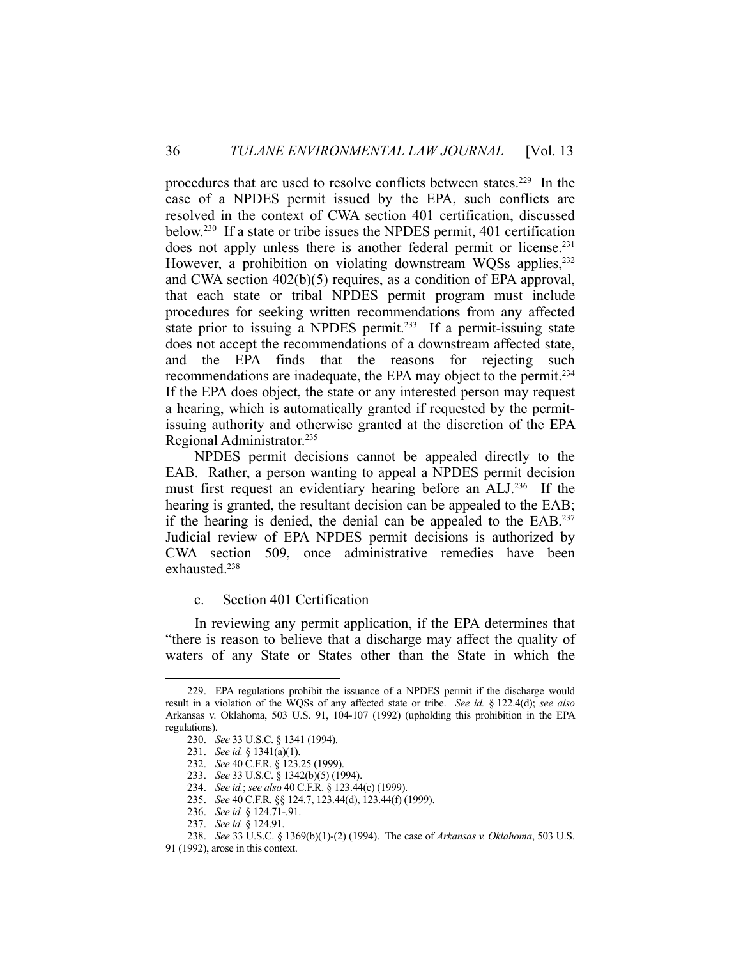procedures that are used to resolve conflicts between states.229 In the case of a NPDES permit issued by the EPA, such conflicts are resolved in the context of CWA section 401 certification, discussed below.230 If a state or tribe issues the NPDES permit, 401 certification does not apply unless there is another federal permit or license.<sup>231</sup> However, a prohibition on violating downstream WQSs applies,<sup>232</sup> and CWA section 402(b)(5) requires, as a condition of EPA approval, that each state or tribal NPDES permit program must include procedures for seeking written recommendations from any affected state prior to issuing a NPDES permit.<sup>233</sup> If a permit-issuing state does not accept the recommendations of a downstream affected state, and the EPA finds that the reasons for rejecting such recommendations are inadequate, the EPA may object to the permit.<sup>234</sup> If the EPA does object, the state or any interested person may request a hearing, which is automatically granted if requested by the permitissuing authority and otherwise granted at the discretion of the EPA Regional Administrator.235

 NPDES permit decisions cannot be appealed directly to the EAB. Rather, a person wanting to appeal a NPDES permit decision must first request an evidentiary hearing before an ALJ.236 If the hearing is granted, the resultant decision can be appealed to the EAB; if the hearing is denied, the denial can be appealed to the EAB.<sup>237</sup> Judicial review of EPA NPDES permit decisions is authorized by CWA section 509, once administrative remedies have been exhausted.238

# c. Section 401 Certification

 In reviewing any permit application, if the EPA determines that "there is reason to believe that a discharge may affect the quality of waters of any State or States other than the State in which the

 <sup>229.</sup> EPA regulations prohibit the issuance of a NPDES permit if the discharge would result in a violation of the WQSs of any affected state or tribe. *See id.* § 122.4(d); *see also*  Arkansas v. Oklahoma, 503 U.S. 91, 104-107 (1992) (upholding this prohibition in the EPA regulations).

 <sup>230.</sup> *See* 33 U.S.C. § 1341 (1994).

 <sup>231.</sup> *See id.* § 1341(a)(1).

 <sup>232.</sup> *See* 40 C.F.R. § 123.25 (1999).

 <sup>233.</sup> *See* 33 U.S.C. § 1342(b)(5) (1994).

 <sup>234.</sup> *See id.*; *see also* 40 C.F.R. § 123.44(c) (1999).

 <sup>235.</sup> *See* 40 C.F.R. §§ 124.7, 123.44(d), 123.44(f) (1999).

 <sup>236.</sup> *See id.* § 124.71-.91.

 <sup>237.</sup> *See id.* § 124.91.

 <sup>238.</sup> *See* 33 U.S.C. § 1369(b)(1)-(2) (1994). The case of *Arkansas v. Oklahoma*, 503 U.S. 91 (1992), arose in this context.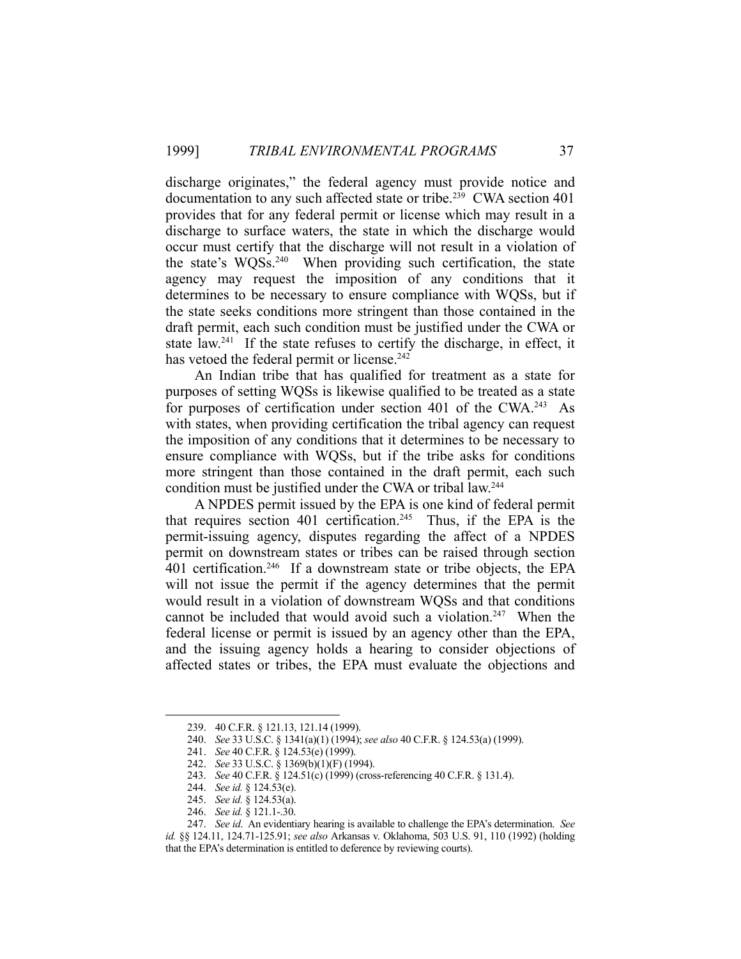discharge originates," the federal agency must provide notice and documentation to any such affected state or tribe.<sup>239</sup> CWA section 401 provides that for any federal permit or license which may result in a discharge to surface waters, the state in which the discharge would occur must certify that the discharge will not result in a violation of the state's WQSs.240 When providing such certification, the state agency may request the imposition of any conditions that it determines to be necessary to ensure compliance with WQSs, but if the state seeks conditions more stringent than those contained in the draft permit, each such condition must be justified under the CWA or state law.<sup>241</sup> If the state refuses to certify the discharge, in effect, it has vetoed the federal permit or license.<sup>242</sup>

 An Indian tribe that has qualified for treatment as a state for purposes of setting WQSs is likewise qualified to be treated as a state for purposes of certification under section 401 of the CWA.243 As with states, when providing certification the tribal agency can request the imposition of any conditions that it determines to be necessary to ensure compliance with WQSs, but if the tribe asks for conditions more stringent than those contained in the draft permit, each such condition must be justified under the CWA or tribal law.244

 A NPDES permit issued by the EPA is one kind of federal permit that requires section 401 certification.<sup>245</sup> Thus, if the EPA is the permit-issuing agency, disputes regarding the affect of a NPDES permit on downstream states or tribes can be raised through section 401 certification.<sup>246</sup> If a downstream state or tribe objects, the EPA will not issue the permit if the agency determines that the permit would result in a violation of downstream WQSs and that conditions cannot be included that would avoid such a violation.<sup>247</sup> When the federal license or permit is issued by an agency other than the EPA, and the issuing agency holds a hearing to consider objections of affected states or tribes, the EPA must evaluate the objections and

 <sup>239. 40</sup> C.F.R. § 121.13, 121.14 (1999).

 <sup>240.</sup> *See* 33 U.S.C. § 1341(a)(1) (1994); *see also* 40 C.F.R. § 124.53(a) (1999).

 <sup>241.</sup> *See* 40 C.F.R. § 124.53(e) (1999).

 <sup>242.</sup> *See* 33 U.S.C. § 1369(b)(1)(F) (1994).

 <sup>243.</sup> *See* 40 C.F.R. § 124.51(c) (1999) (cross-referencing 40 C.F.R. § 131.4).

 <sup>244.</sup> *See id.* § 124.53(e).

 <sup>245.</sup> *See id.* § 124.53(a).

 <sup>246.</sup> *See id.* § 121.1-.30.

 <sup>247.</sup> *See id*. An evidentiary hearing is available to challenge the EPA's determination. *See id.* §§ 124.11, 124.71-125.91; *see also* Arkansas v. Oklahoma, 503 U.S. 91, 110 (1992) (holding that the EPA's determination is entitled to deference by reviewing courts).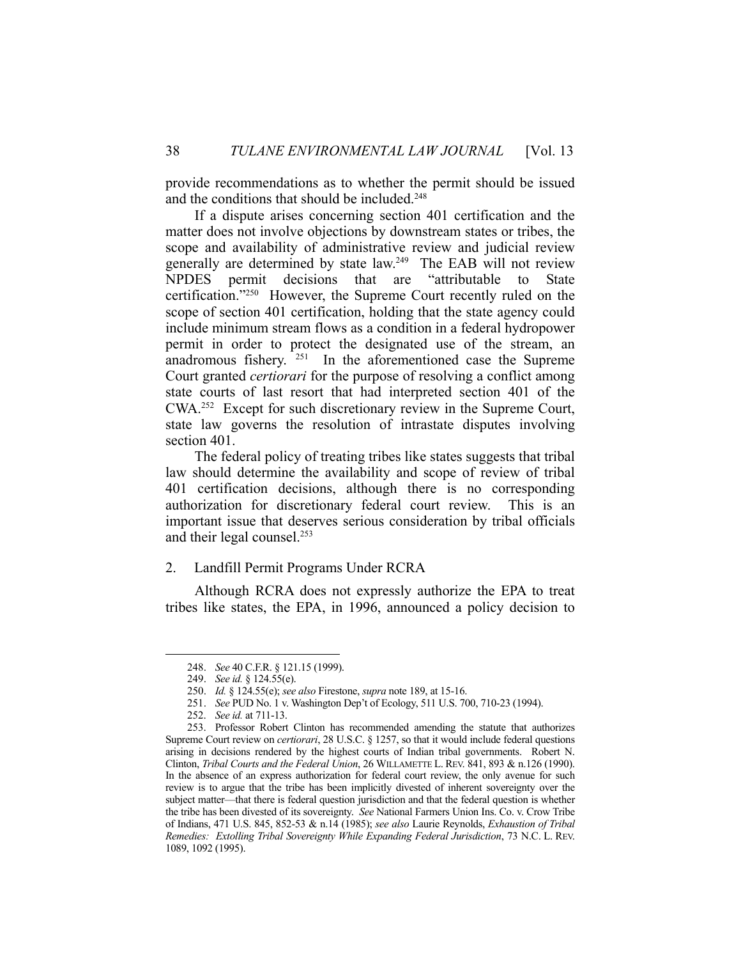provide recommendations as to whether the permit should be issued and the conditions that should be included.<sup>248</sup>

 If a dispute arises concerning section 401 certification and the matter does not involve objections by downstream states or tribes, the scope and availability of administrative review and judicial review generally are determined by state law.<sup>249</sup> The EAB will not review NPDES permit decisions that are "attributable to State certification."250 However, the Supreme Court recently ruled on the scope of section 401 certification, holding that the state agency could include minimum stream flows as a condition in a federal hydropower permit in order to protect the designated use of the stream, an anadromous fishery.<sup>251</sup> In the aforementioned case the Supreme Court granted *certiorari* for the purpose of resolving a conflict among state courts of last resort that had interpreted section 401 of the CWA.252 Except for such discretionary review in the Supreme Court, state law governs the resolution of intrastate disputes involving section 401.

 The federal policy of treating tribes like states suggests that tribal law should determine the availability and scope of review of tribal 401 certification decisions, although there is no corresponding authorization for discretionary federal court review. This is an important issue that deserves serious consideration by tribal officials and their legal counsel.253

# 2. Landfill Permit Programs Under RCRA

 Although RCRA does not expressly authorize the EPA to treat tribes like states, the EPA, in 1996, announced a policy decision to

 <sup>248.</sup> *See* 40 C.F.R. § 121.15 (1999).

 <sup>249.</sup> *See id.* § 124.55(e).

 <sup>250.</sup> *Id.* § 124.55(e); *see also* Firestone, *supra* note 189, at 15-16.

 <sup>251.</sup> *See* PUD No. 1 v. Washington Dep't of Ecology, 511 U.S. 700, 710-23 (1994).

 <sup>252.</sup> *See id.* at 711-13.

 <sup>253.</sup> Professor Robert Clinton has recommended amending the statute that authorizes Supreme Court review on *certiorari*, 28 U.S.C. § 1257, so that it would include federal questions arising in decisions rendered by the highest courts of Indian tribal governments. Robert N. Clinton, *Tribal Courts and the Federal Union*, 26 WILLAMETTE L. REV. 841, 893 & n.126 (1990). In the absence of an express authorization for federal court review, the only avenue for such review is to argue that the tribe has been implicitly divested of inherent sovereignty over the subject matter—that there is federal question jurisdiction and that the federal question is whether the tribe has been divested of its sovereignty. *See* National Farmers Union Ins. Co. v. Crow Tribe of Indians, 471 U.S. 845, 852-53 & n.14 (1985); *see also* Laurie Reynolds, *Exhaustion of Tribal Remedies: Extolling Tribal Sovereignty While Expanding Federal Jurisdiction*, 73 N.C. L. REV. 1089, 1092 (1995).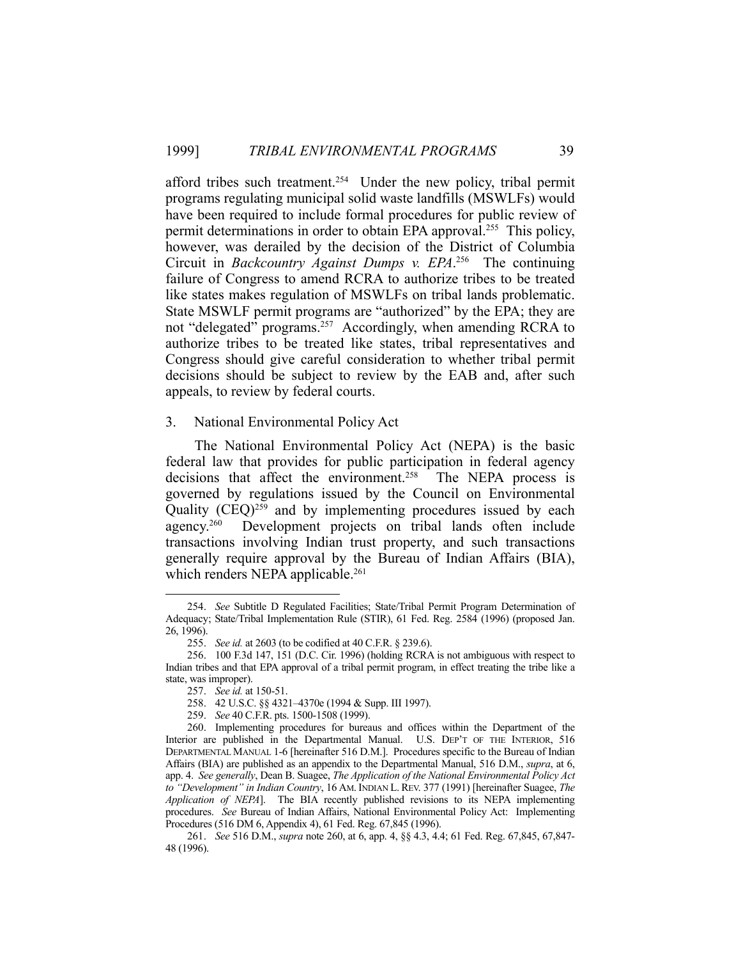afford tribes such treatment.<sup>254</sup> Under the new policy, tribal permit programs regulating municipal solid waste landfills (MSWLFs) would have been required to include formal procedures for public review of permit determinations in order to obtain EPA approval.<sup>255</sup> This policy, however, was derailed by the decision of the District of Columbia Circuit in *Backcountry Against Dumps v. EPA*. 256 The continuing failure of Congress to amend RCRA to authorize tribes to be treated like states makes regulation of MSWLFs on tribal lands problematic. State MSWLF permit programs are "authorized" by the EPA; they are not "delegated" programs.<sup>257</sup> Accordingly, when amending RCRA to authorize tribes to be treated like states, tribal representatives and Congress should give careful consideration to whether tribal permit decisions should be subject to review by the EAB and, after such appeals, to review by federal courts.

#### 3. National Environmental Policy Act

 The National Environmental Policy Act (NEPA) is the basic federal law that provides for public participation in federal agency decisions that affect the environment.<sup>258</sup> The NEPA process is governed by regulations issued by the Council on Environmental Quality (CEQ)<sup>259</sup> and by implementing procedures issued by each agency.260 Development projects on tribal lands often include transactions involving Indian trust property, and such transactions generally require approval by the Bureau of Indian Affairs (BIA), which renders NEPA applicable.<sup>261</sup>

 <sup>254.</sup> *See* Subtitle D Regulated Facilities; State/Tribal Permit Program Determination of Adequacy; State/Tribal Implementation Rule (STIR), 61 Fed. Reg. 2584 (1996) (proposed Jan. 26, 1996).

 <sup>255.</sup> *See id.* at 2603 (to be codified at 40 C.F.R. § 239.6).

 <sup>256. 100</sup> F.3d 147, 151 (D.C. Cir. 1996) (holding RCRA is not ambiguous with respect to Indian tribes and that EPA approval of a tribal permit program, in effect treating the tribe like a state, was improper).

 <sup>257.</sup> *See id.* at 150-51.

 <sup>258. 42</sup> U.S.C. §§ 4321–4370e (1994 & Supp. III 1997).

 <sup>259.</sup> *See* 40 C.F.R. pts. 1500-1508 (1999).

 <sup>260.</sup> Implementing procedures for bureaus and offices within the Department of the Interior are published in the Departmental Manual. U.S. DEP'T OF THE INTERIOR, 516 DEPARTMENTAL MANUAL 1-6 [hereinafter 516 D.M.]. Procedures specific to the Bureau of Indian Affairs (BIA) are published as an appendix to the Departmental Manual, 516 D.M., *supra*, at 6, app. 4. *See generally*, Dean B. Suagee, *The Application of the National Environmental Policy Act to "Development" in Indian Country*, 16 AM. INDIAN L. REV. 377 (1991) [hereinafter Suagee, *The Application of NEPA*]. The BIA recently published revisions to its NEPA implementing procedures. *See* Bureau of Indian Affairs, National Environmental Policy Act: Implementing Procedures (516 DM 6, Appendix 4), 61 Fed. Reg. 67,845 (1996).

 <sup>261.</sup> *See* 516 D.M., *supra* note 260, at 6, app. 4, §§ 4.3, 4.4; 61 Fed. Reg. 67,845, 67,847- 48 (1996).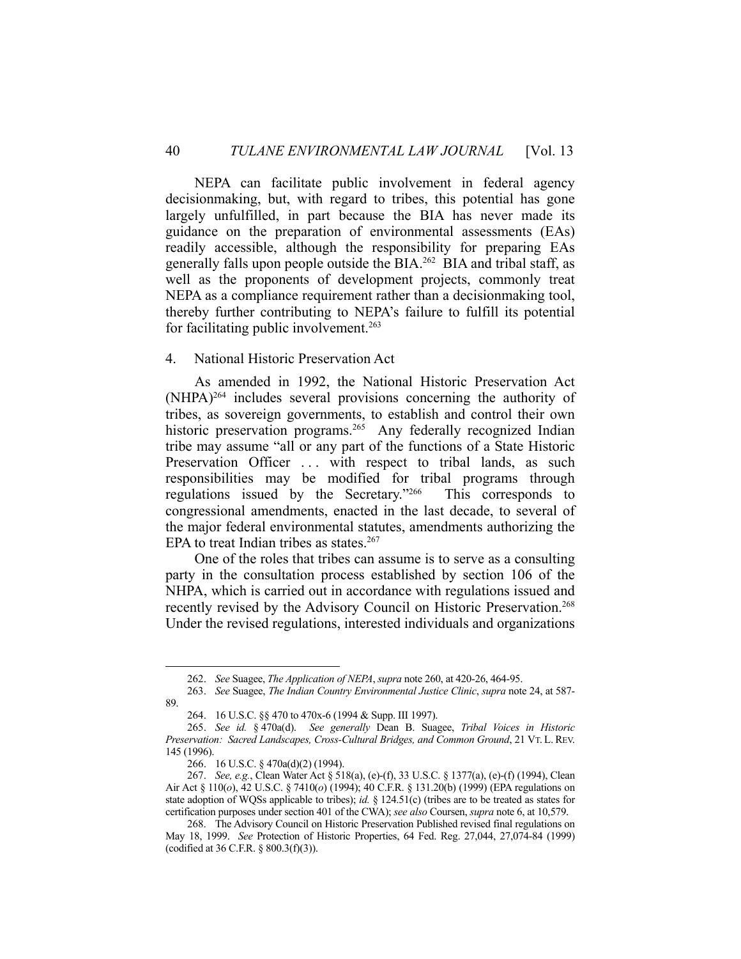NEPA can facilitate public involvement in federal agency decisionmaking, but, with regard to tribes, this potential has gone largely unfulfilled, in part because the BIA has never made its guidance on the preparation of environmental assessments (EAs) readily accessible, although the responsibility for preparing EAs generally falls upon people outside the BIA.262 BIA and tribal staff, as well as the proponents of development projects, commonly treat NEPA as a compliance requirement rather than a decisionmaking tool, thereby further contributing to NEPA's failure to fulfill its potential for facilitating public involvement.<sup>263</sup>

# 4. National Historic Preservation Act

 As amended in 1992, the National Historic Preservation Act  $(NHPA)^{264}$  includes several provisions concerning the authority of tribes, as sovereign governments, to establish and control their own historic preservation programs.<sup>265</sup> Any federally recognized Indian tribe may assume "all or any part of the functions of a State Historic Preservation Officer ... with respect to tribal lands, as such responsibilities may be modified for tribal programs through regulations issued by the Secretary."266 This corresponds to congressional amendments, enacted in the last decade, to several of the major federal environmental statutes, amendments authorizing the EPA to treat Indian tribes as states.<sup>267</sup>

 One of the roles that tribes can assume is to serve as a consulting party in the consultation process established by section 106 of the NHPA, which is carried out in accordance with regulations issued and recently revised by the Advisory Council on Historic Preservation.<sup>268</sup> Under the revised regulations, interested individuals and organizations

 <sup>262.</sup> *See* Suagee, *The Application of NEPA*, *supra* note 260, at 420-26, 464-95.

 <sup>263.</sup> *See* Suagee, *The Indian Country Environmental Justice Clinic*, *supra* note 24, at 587- 89.

 <sup>264. 16</sup> U.S.C. §§ 470 to 470x-6 (1994 & Supp. III 1997).

 <sup>265.</sup> *See id.* § 470a(d). *See generally* Dean B. Suagee, *Tribal Voices in Historic Preservation: Sacred Landscapes, Cross-Cultural Bridges, and Common Ground*, 21 VT. L. REV. 145 (1996).

 <sup>266. 16</sup> U.S.C. § 470a(d)(2) (1994).

 <sup>267.</sup> *See, e.g.*, Clean Water Act § 518(a), (e)-(f), 33 U.S.C. § 1377(a), (e)-(f) (1994), Clean Air Act § 110(*o*), 42 U.S.C. § 7410(*o*) (1994); 40 C.F.R. § 131.20(b) (1999) (EPA regulations on state adoption of WQSs applicable to tribes); *id.* § 124.51(c) (tribes are to be treated as states for certification purposes under section 401 of the CWA); *see also* Coursen, *supra* note 6, at 10,579.

 <sup>268.</sup> The Advisory Council on Historic Preservation Published revised final regulations on May 18, 1999. *See* Protection of Historic Properties, 64 Fed. Reg. 27,044, 27,074-84 (1999) (codified at 36 C.F.R. § 800.3(f)(3)).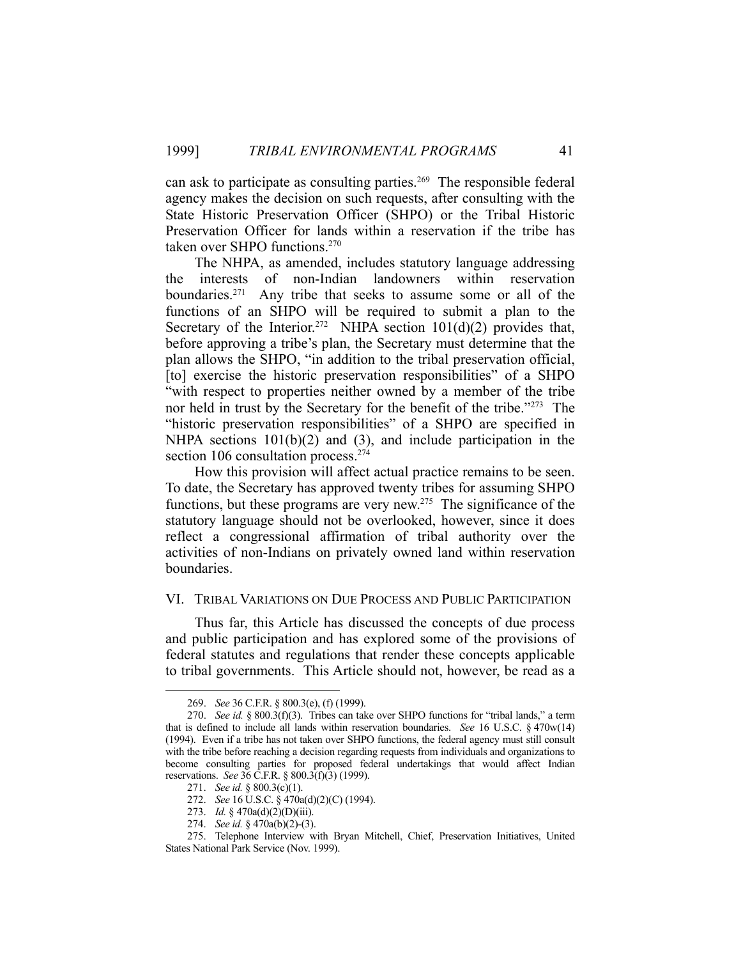can ask to participate as consulting parties.<sup>269</sup> The responsible federal agency makes the decision on such requests, after consulting with the State Historic Preservation Officer (SHPO) or the Tribal Historic Preservation Officer for lands within a reservation if the tribe has taken over SHPO functions.<sup>270</sup>

 The NHPA, as amended, includes statutory language addressing the interests of non-Indian landowners within reservation boundaries.<sup>271</sup> Any tribe that seeks to assume some or all of the functions of an SHPO will be required to submit a plan to the Secretary of the Interior.<sup>272</sup> NHPA section  $101(d)(2)$  provides that, before approving a tribe's plan, the Secretary must determine that the plan allows the SHPO, "in addition to the tribal preservation official, [to] exercise the historic preservation responsibilities" of a SHPO "with respect to properties neither owned by a member of the tribe nor held in trust by the Secretary for the benefit of the tribe."273 The "historic preservation responsibilities" of a SHPO are specified in NHPA sections  $101(b)(2)$  and  $(3)$ , and include participation in the section 106 consultation process. $274$ 

 How this provision will affect actual practice remains to be seen. To date, the Secretary has approved twenty tribes for assuming SHPO functions, but these programs are very new.<sup>275</sup> The significance of the statutory language should not be overlooked, however, since it does reflect a congressional affirmation of tribal authority over the activities of non-Indians on privately owned land within reservation boundaries.

# VI. TRIBAL VARIATIONS ON DUE PROCESS AND PUBLIC PARTICIPATION

 Thus far, this Article has discussed the concepts of due process and public participation and has explored some of the provisions of federal statutes and regulations that render these concepts applicable to tribal governments. This Article should not, however, be read as a

 <sup>269.</sup> *See* 36 C.F.R. § 800.3(e), (f) (1999).

 <sup>270.</sup> *See id.* § 800.3(f)(3). Tribes can take over SHPO functions for "tribal lands," a term that is defined to include all lands within reservation boundaries. *See* 16 U.S.C. § 470w(14) (1994). Even if a tribe has not taken over SHPO functions, the federal agency must still consult with the tribe before reaching a decision regarding requests from individuals and organizations to become consulting parties for proposed federal undertakings that would affect Indian reservations. *See* 36 C.F.R. § 800.3(f)(3) (1999).

 <sup>271.</sup> *See id.* § 800.3(c)(1).

 <sup>272.</sup> *See* 16 U.S.C. § 470a(d)(2)(C) (1994).

 <sup>273.</sup> *Id.* § 470a(d)(2)(D)(iii).

 <sup>274.</sup> *See id.* § 470a(b)(2)-(3).

 <sup>275.</sup> Telephone Interview with Bryan Mitchell, Chief, Preservation Initiatives, United States National Park Service (Nov. 1999).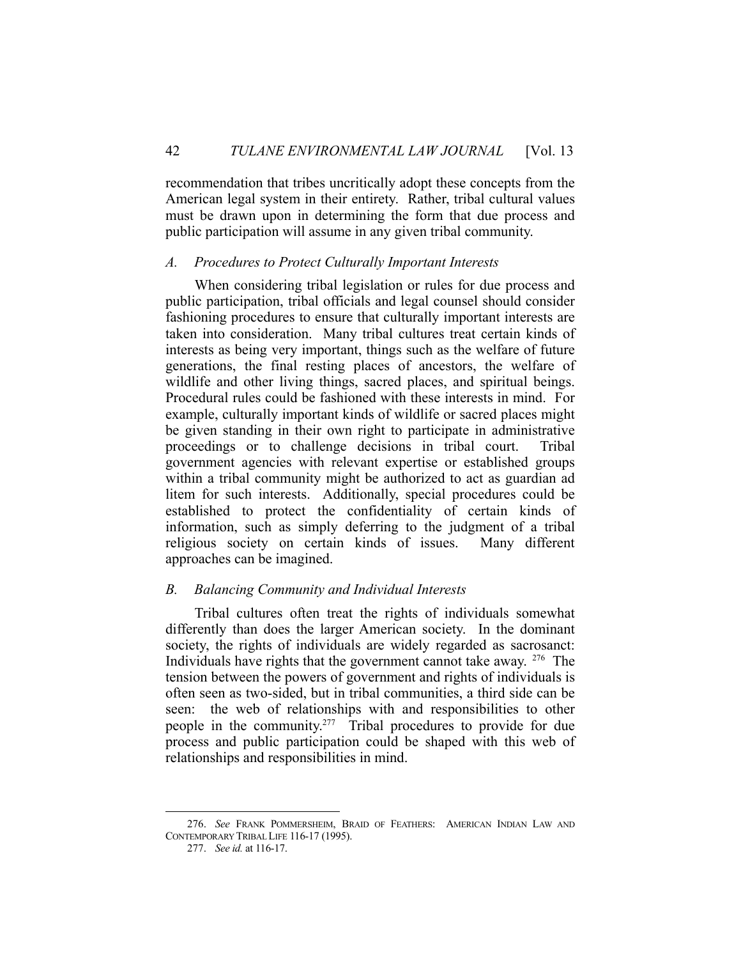recommendation that tribes uncritically adopt these concepts from the American legal system in their entirety. Rather, tribal cultural values must be drawn upon in determining the form that due process and public participation will assume in any given tribal community.

# *A. Procedures to Protect Culturally Important Interests*

 When considering tribal legislation or rules for due process and public participation, tribal officials and legal counsel should consider fashioning procedures to ensure that culturally important interests are taken into consideration. Many tribal cultures treat certain kinds of interests as being very important, things such as the welfare of future generations, the final resting places of ancestors, the welfare of wildlife and other living things, sacred places, and spiritual beings. Procedural rules could be fashioned with these interests in mind. For example, culturally important kinds of wildlife or sacred places might be given standing in their own right to participate in administrative proceedings or to challenge decisions in tribal court. Tribal government agencies with relevant expertise or established groups within a tribal community might be authorized to act as guardian ad litem for such interests. Additionally, special procedures could be established to protect the confidentiality of certain kinds of information, such as simply deferring to the judgment of a tribal religious society on certain kinds of issues. Many different approaches can be imagined.

# *B. Balancing Community and Individual Interests*

 Tribal cultures often treat the rights of individuals somewhat differently than does the larger American society. In the dominant society, the rights of individuals are widely regarded as sacrosanct: Individuals have rights that the government cannot take away. 276 The tension between the powers of government and rights of individuals is often seen as two-sided, but in tribal communities, a third side can be seen: the web of relationships with and responsibilities to other people in the community.277 Tribal procedures to provide for due process and public participation could be shaped with this web of relationships and responsibilities in mind.

 <sup>276.</sup> *See* FRANK POMMERSHEIM, BRAID OF FEATHERS: AMERICAN INDIAN LAW AND CONTEMPORARY TRIBAL LIFE 116-17 (1995).

 <sup>277.</sup> *See id.* at 116-17.